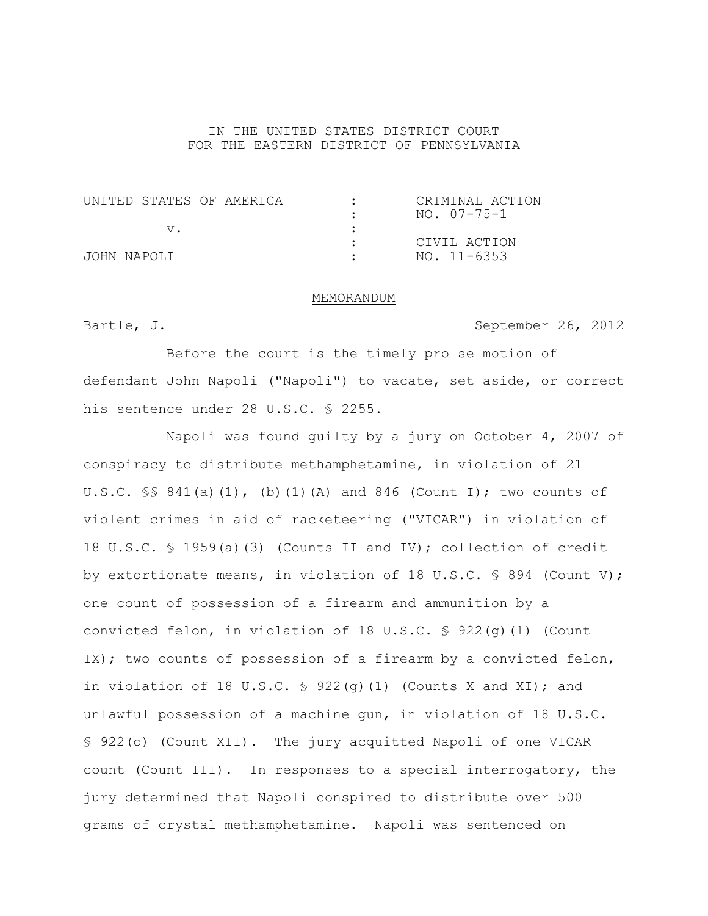## IN THE UNITED STATES DISTRICT COURT FOR THE EASTERN DISTRICT OF PENNSYLVANIA

| UNITED STATES OF AMERICA | CRIMINAL ACTION |
|--------------------------|-----------------|
|                          | NO. 07-75-1     |
|                          |                 |
|                          | CIVIL ACTION    |
| JOHN NAPOLI              | NO. 11-6353     |

### MEMORANDUM

Bartle, J. September 26, 2012

Before the court is the timely pro se motion of defendant John Napoli ("Napoli") to vacate, set aside, or correct his sentence under 28 U.S.C. § 2255.

Napoli was found guilty by a jury on October 4, 2007 of conspiracy to distribute methamphetamine, in violation of 21 U.S.C.  $\frac{1}{5}$  841(a)(1), (b)(1)(A) and 846 (Count I); two counts of violent crimes in aid of racketeering ("VICAR") in violation of 18 U.S.C. § 1959(a)(3) (Counts II and IV); collection of credit by extortionate means, in violation of 18 U.S.C.  $\frac{1}{5}$  894 (Count V); one count of possession of a firearm and ammunition by a convicted felon, in violation of 18 U.S.C.  $\frac{1}{5}$  922(q)(1) (Count IX); two counts of possession of a firearm by a convicted felon, in violation of 18 U.S.C.  $\frac{1}{5}$  922(q)(1) (Counts X and XI); and unlawful possession of a machine gun, in violation of 18 U.S.C. § 922(o) (Count XII). The jury acquitted Napoli of one VICAR count (Count III). In responses to a special interrogatory, the jury determined that Napoli conspired to distribute over 500 grams of crystal methamphetamine. Napoli was sentenced on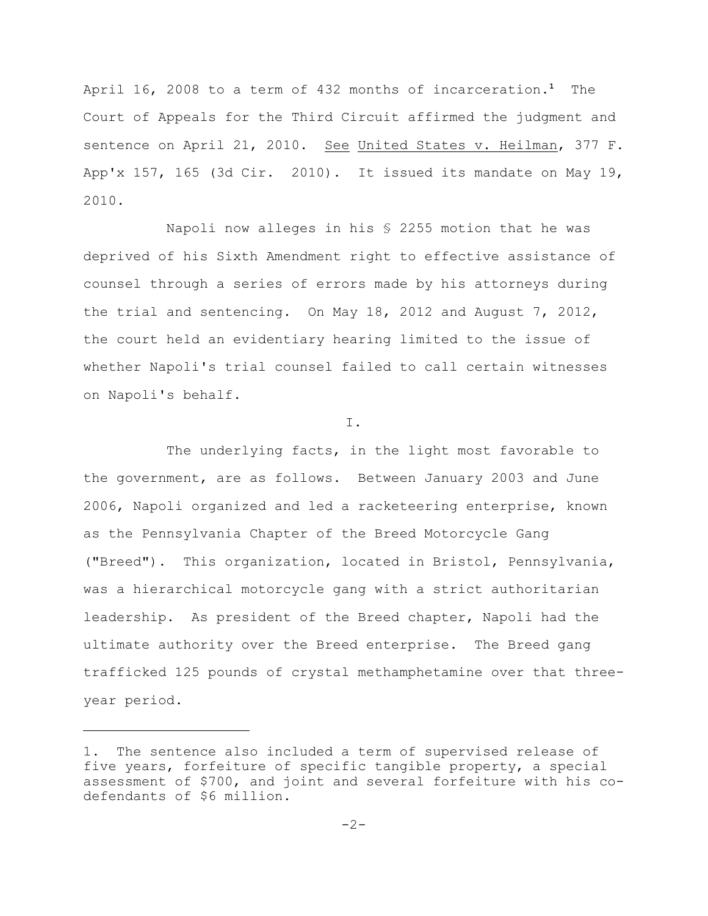April 16, 2008 to a term of 432 months of incarceration.<sup>1</sup> The Court of Appeals for the Third Circuit affirmed the judgment and sentence on April 21, 2010. See United States v. Heilman, 377 F. App'x 157, 165 (3d Cir. 2010). It issued its mandate on May 19, 2010.

Napoli now alleges in his § 2255 motion that he was deprived of his Sixth Amendment right to effective assistance of counsel through a series of errors made by his attorneys during the trial and sentencing. On May 18, 2012 and August 7, 2012, the court held an evidentiary hearing limited to the issue of whether Napoli's trial counsel failed to call certain witnesses on Napoli's behalf.

I.

The underlying facts, in the light most favorable to the government, are as follows. Between January 2003 and June 2006, Napoli organized and led a racketeering enterprise, known as the Pennsylvania Chapter of the Breed Motorcycle Gang ("Breed"). This organization, located in Bristol, Pennsylvania, was a hierarchical motorcycle gang with a strict authoritarian leadership. As president of the Breed chapter, Napoli had the ultimate authority over the Breed enterprise. The Breed gang trafficked 125 pounds of crystal methamphetamine over that threeyear period.

<sup>1.</sup> The sentence also included a term of supervised release of five years, forfeiture of specific tangible property, a special assessment of \$700, and joint and several forfeiture with his codefendants of \$6 million.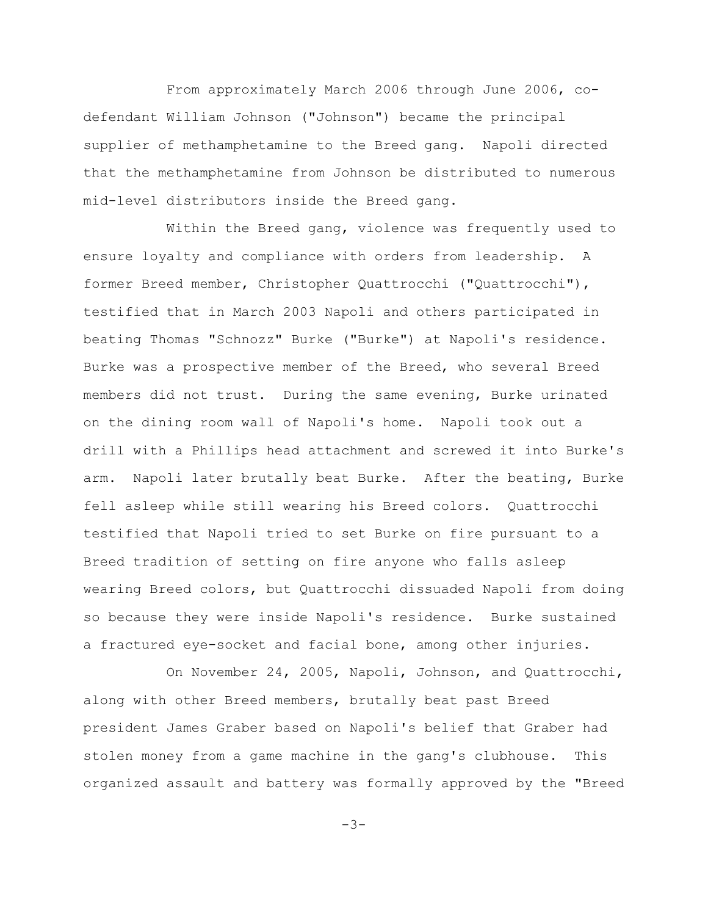From approximately March 2006 through June 2006, codefendant William Johnson ("Johnson") became the principal supplier of methamphetamine to the Breed gang. Napoli directed that the methamphetamine from Johnson be distributed to numerous mid-level distributors inside the Breed gang.

Within the Breed gang, violence was frequently used to ensure loyalty and compliance with orders from leadership. A former Breed member, Christopher Quattrocchi ("Quattrocchi"), testified that in March 2003 Napoli and others participated in beating Thomas "Schnozz" Burke ("Burke") at Napoli's residence. Burke was a prospective member of the Breed, who several Breed members did not trust. During the same evening, Burke urinated on the dining room wall of Napoli's home. Napoli took out a drill with a Phillips head attachment and screwed it into Burke's arm. Napoli later brutally beat Burke. After the beating, Burke fell asleep while still wearing his Breed colors. Quattrocchi testified that Napoli tried to set Burke on fire pursuant to a Breed tradition of setting on fire anyone who falls asleep wearing Breed colors, but Quattrocchi dissuaded Napoli from doing so because they were inside Napoli's residence. Burke sustained a fractured eye-socket and facial bone, among other injuries.

On November 24, 2005, Napoli, Johnson, and Quattrocchi, along with other Breed members, brutally beat past Breed president James Graber based on Napoli's belief that Graber had stolen money from a game machine in the gang's clubhouse. This organized assault and battery was formally approved by the "Breed

 $-3-$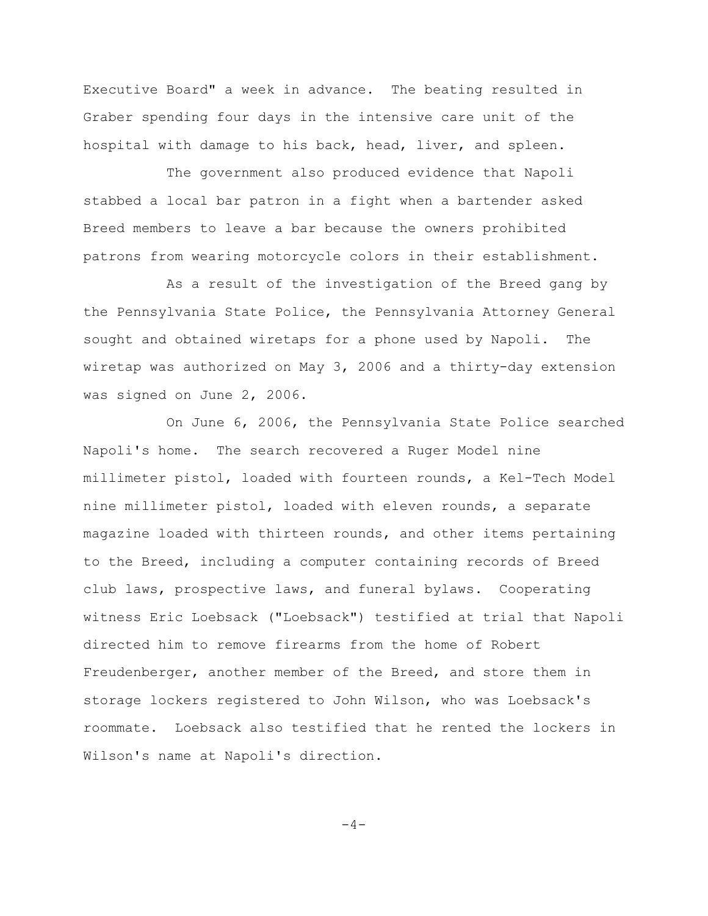Executive Board" a week in advance. The beating resulted in Graber spending four days in the intensive care unit of the hospital with damage to his back, head, liver, and spleen.

The government also produced evidence that Napoli stabbed a local bar patron in a fight when a bartender asked Breed members to leave a bar because the owners prohibited patrons from wearing motorcycle colors in their establishment.

As a result of the investigation of the Breed gang by the Pennsylvania State Police, the Pennsylvania Attorney General sought and obtained wiretaps for a phone used by Napoli. The wiretap was authorized on May 3, 2006 and a thirty-day extension was signed on June 2, 2006.

On June 6, 2006, the Pennsylvania State Police searched Napoli's home. The search recovered a Ruger Model nine millimeter pistol, loaded with fourteen rounds, a Kel-Tech Model nine millimeter pistol, loaded with eleven rounds, a separate magazine loaded with thirteen rounds, and other items pertaining to the Breed, including a computer containing records of Breed club laws, prospective laws, and funeral bylaws. Cooperating witness Eric Loebsack ("Loebsack") testified at trial that Napoli directed him to remove firearms from the home of Robert Freudenberger, another member of the Breed, and store them in storage lockers registered to John Wilson, who was Loebsack's roommate. Loebsack also testified that he rented the lockers in Wilson's name at Napoli's direction.

 $-4-$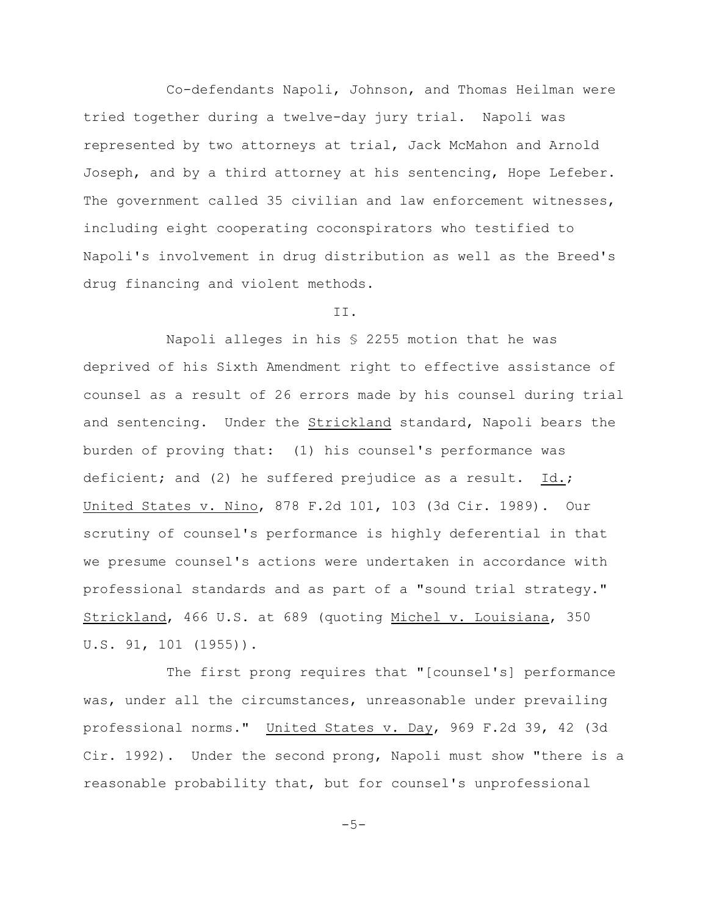Co-defendants Napoli, Johnson, and Thomas Heilman were tried together during a twelve-day jury trial. Napoli was represented by two attorneys at trial, Jack McMahon and Arnold Joseph, and by a third attorney at his sentencing, Hope Lefeber. The government called 35 civilian and law enforcement witnesses, including eight cooperating coconspirators who testified to Napoli's involvement in drug distribution as well as the Breed's drug financing and violent methods.

# II.

Napoli alleges in his § 2255 motion that he was deprived of his Sixth Amendment right to effective assistance of counsel as a result of 26 errors made by his counsel during trial and sentencing. Under the Strickland standard, Napoli bears the burden of proving that: (1) his counsel's performance was deficient; and (2) he suffered prejudice as a result. Id.; United States v. Nino, 878 F.2d 101, 103 (3d Cir. 1989). Our scrutiny of counsel's performance is highly deferential in that we presume counsel's actions were undertaken in accordance with professional standards and as part of a "sound trial strategy." Strickland, 466 U.S. at 689 (quoting Michel v. Louisiana, 350 U.S. 91, 101 (1955)).

The first prong requires that "[counsel's] performance was, under all the circumstances, unreasonable under prevailing professional norms." United States v. Day, 969 F.2d 39, 42 (3d Cir. 1992). Under the second prong, Napoli must show "there is a reasonable probability that, but for counsel's unprofessional

 $-5-$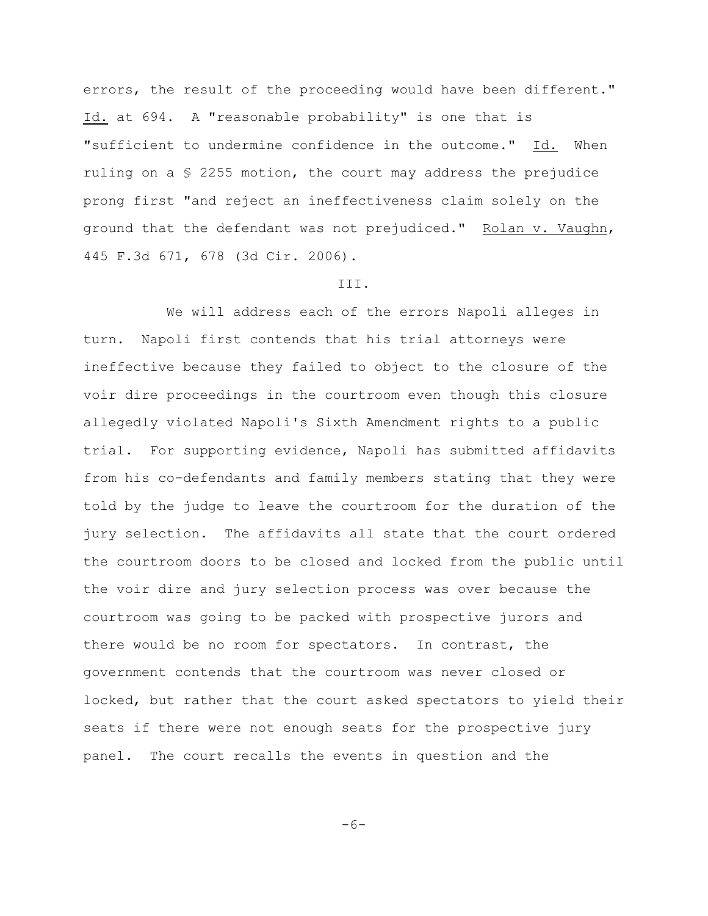errors, the result of the proceeding would have been different." Id. at 694. A "reasonable probability" is one that is "sufficient to undermine confidence in the outcome." Id. When ruling on a  $\S$  2255 motion, the court may address the prejudice prong first "and reject an ineffectiveness claim solely on the ground that the defendant was not prejudiced." Rolan v. Vaughn, 445 F.3d 671, 678 (3d Cir. 2006).

#### III.

We will address each of the errors Napoli alleges in turn. Napoli first contends that his trial attorneys were ineffective because they failed to object to the closure of the voir dire proceedings in the courtroom even though this closure allegedly violated Napoli's Sixth Amendment rights to a public trial. For supporting evidence, Napoli has submitted affidavits from his co-defendants and family members stating that they were told by the judge to leave the courtroom for the duration of the jury selection. The affidavits all state that the court ordered the courtroom doors to be closed and locked from the public until the voir dire and jury selection process was over because the courtroom was going to be packed with prospective jurors and there would be no room for spectators. In contrast, the government contends that the courtroom was never closed or locked, but rather that the court asked spectators to yield their seats if there were not enough seats for the prospective jury panel. The court recalls the events in question and the

 $-6-$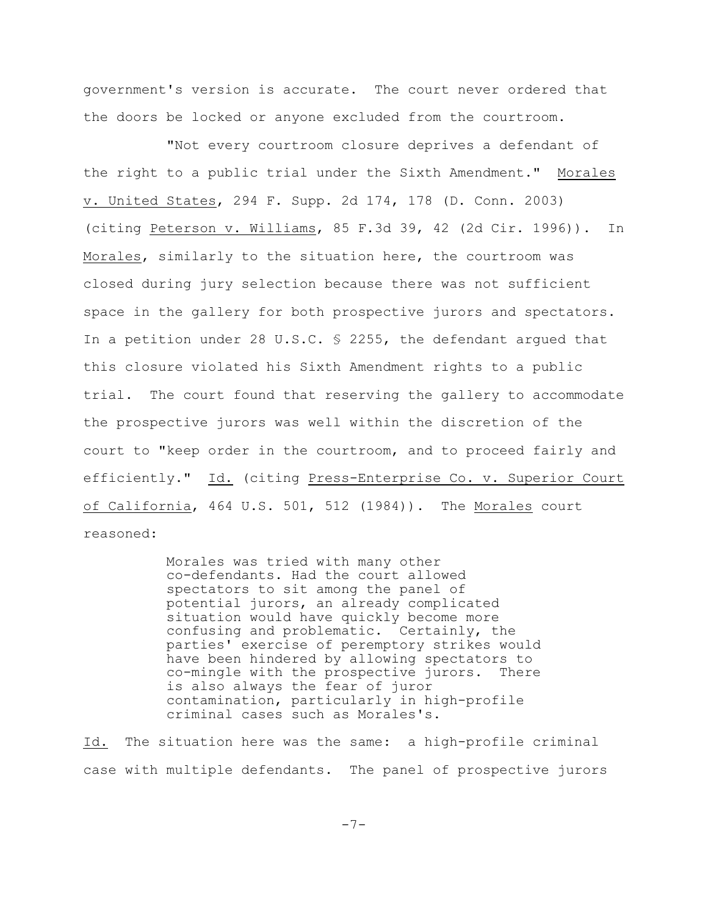government's version is accurate. The court never ordered that the doors be locked or anyone excluded from the courtroom.

"Not every courtroom closure deprives a defendant of the right to a public trial under the Sixth Amendment." Morales v. United States, 294 F. Supp. 2d 174, 178 (D. Conn. 2003) (citing Peterson v. Williams, 85 F.3d 39, 42 (2d Cir. 1996)). In Morales, similarly to the situation here, the courtroom was closed during jury selection because there was not sufficient space in the gallery for both prospective jurors and spectators. In a petition under 28 U.S.C. § 2255, the defendant argued that this closure violated his Sixth Amendment rights to a public trial. The court found that reserving the gallery to accommodate the prospective jurors was well within the discretion of the court to "keep order in the courtroom, and to proceed fairly and efficiently." Id. (citing Press-Enterprise Co. v. Superior Court of California, 464 U.S. 501, 512 (1984)). The Morales court reasoned:

> Morales was tried with many other co-defendants. Had the court allowed spectators to sit among the panel of potential jurors, an already complicated situation would have quickly become more confusing and problematic. Certainly, the parties' exercise of peremptory strikes would have been hindered by allowing spectators to co-mingle with the prospective jurors. There is also always the fear of juror contamination, particularly in high-profile criminal cases such as Morales's.

Id. The situation here was the same: a high-profile criminal case with multiple defendants. The panel of prospective jurors

-7-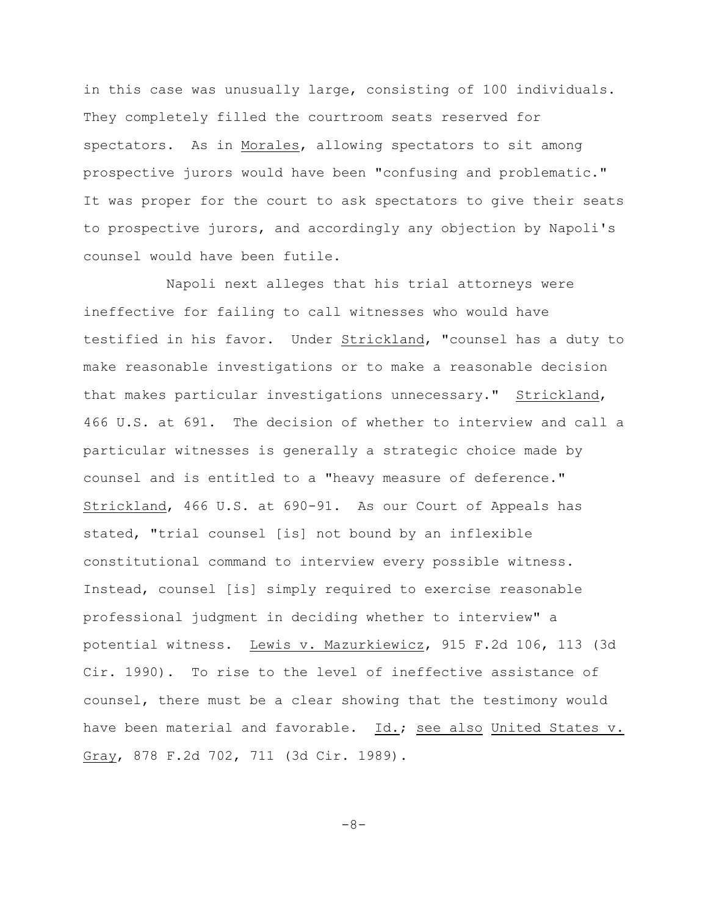in this case was unusually large, consisting of 100 individuals. They completely filled the courtroom seats reserved for spectators. As in Morales, allowing spectators to sit among prospective jurors would have been "confusing and problematic." It was proper for the court to ask spectators to give their seats to prospective jurors, and accordingly any objection by Napoli's counsel would have been futile.

Napoli next alleges that his trial attorneys were ineffective for failing to call witnesses who would have testified in his favor. Under Strickland, "counsel has a duty to make reasonable investigations or to make a reasonable decision that makes particular investigations unnecessary." Strickland, 466 U.S. at 691. The decision of whether to interview and call a particular witnesses is generally a strategic choice made by counsel and is entitled to a "heavy measure of deference." Strickland, 466 U.S. at 690-91. As our Court of Appeals has stated, "trial counsel [is] not bound by an inflexible constitutional command to interview every possible witness. Instead, counsel [is] simply required to exercise reasonable professional judgment in deciding whether to interview" a potential witness. Lewis v. Mazurkiewicz, 915 F.2d 106, 113 (3d Cir. 1990). To rise to the level of ineffective assistance of counsel, there must be a clear showing that the testimony would have been material and favorable. Id.; see also United States v. Gray, 878 F.2d 702, 711 (3d Cir. 1989).

-8-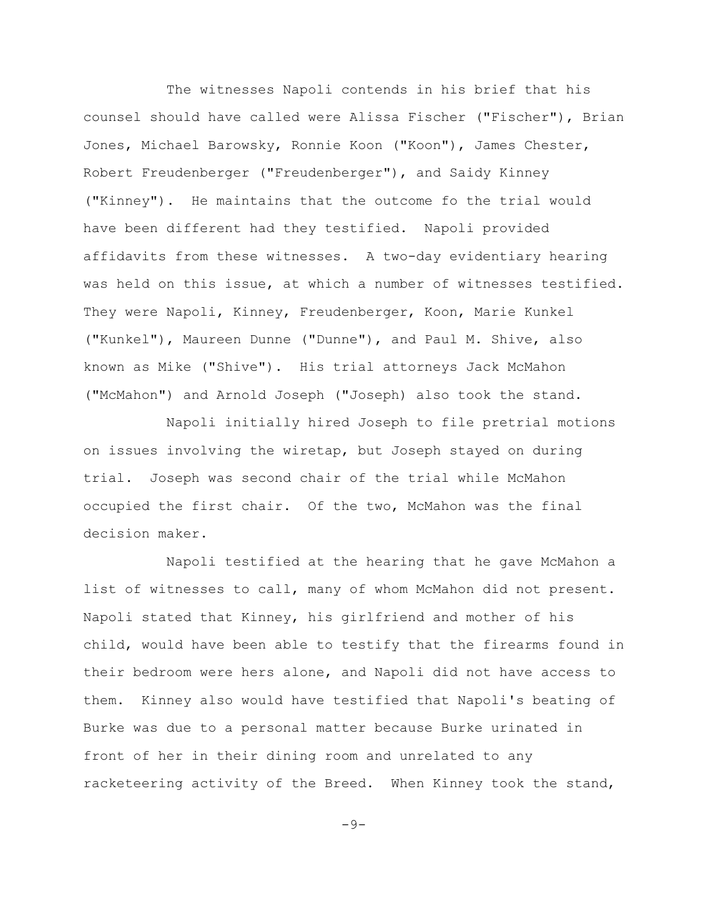The witnesses Napoli contends in his brief that his counsel should have called were Alissa Fischer ("Fischer"), Brian Jones, Michael Barowsky, Ronnie Koon ("Koon"), James Chester, Robert Freudenberger ("Freudenberger"), and Saidy Kinney ("Kinney"). He maintains that the outcome fo the trial would have been different had they testified. Napoli provided affidavits from these witnesses. A two-day evidentiary hearing was held on this issue, at which a number of witnesses testified. They were Napoli, Kinney, Freudenberger, Koon, Marie Kunkel ("Kunkel"), Maureen Dunne ("Dunne"), and Paul M. Shive, also known as Mike ("Shive"). His trial attorneys Jack McMahon ("McMahon") and Arnold Joseph ("Joseph) also took the stand.

Napoli initially hired Joseph to file pretrial motions on issues involving the wiretap, but Joseph stayed on during trial. Joseph was second chair of the trial while McMahon occupied the first chair. Of the two, McMahon was the final decision maker.

Napoli testified at the hearing that he gave McMahon a list of witnesses to call, many of whom McMahon did not present. Napoli stated that Kinney, his girlfriend and mother of his child, would have been able to testify that the firearms found in their bedroom were hers alone, and Napoli did not have access to them. Kinney also would have testified that Napoli's beating of Burke was due to a personal matter because Burke urinated in front of her in their dining room and unrelated to any racketeering activity of the Breed. When Kinney took the stand,

 $-9-$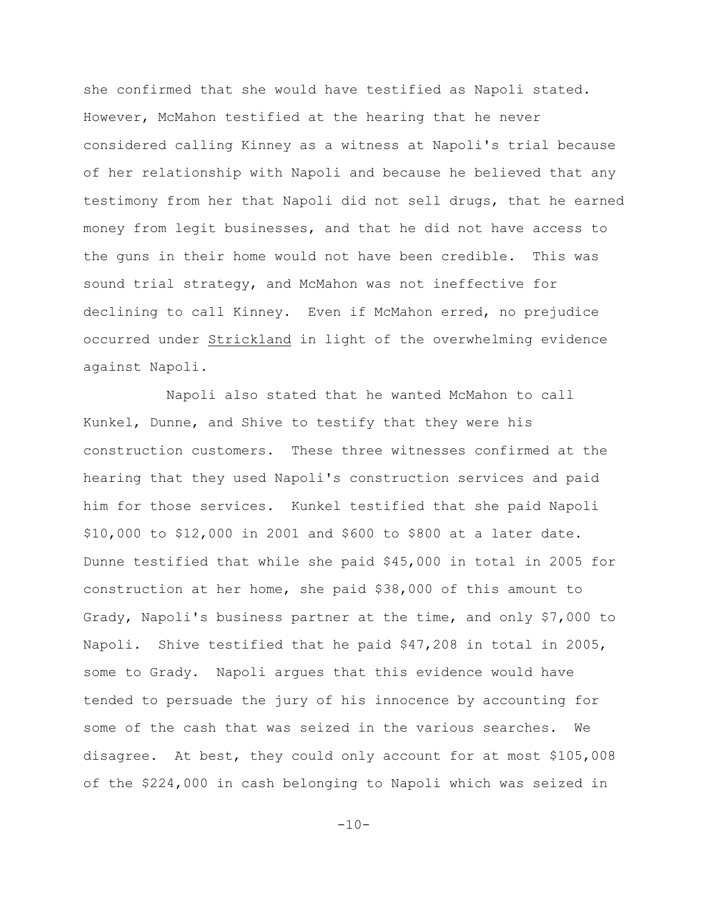she confirmed that she would have testified as Napoli stated. However, McMahon testified at the hearing that he never considered calling Kinney as a witness at Napoli's trial because of her relationship with Napoli and because he believed that any testimony from her that Napoli did not sell drugs, that he earned money from legit businesses, and that he did not have access to the guns in their home would not have been credible. This was sound trial strategy, and McMahon was not ineffective for declining to call Kinney. Even if McMahon erred, no prejudice occurred under Strickland in light of the overwhelming evidence against Napoli.

Napoli also stated that he wanted McMahon to call Kunkel, Dunne, and Shive to testify that they were his construction customers. These three witnesses confirmed at the hearing that they used Napoli's construction services and paid him for those services. Kunkel testified that she paid Napoli \$10,000 to \$12,000 in 2001 and \$600 to \$800 at a later date. Dunne testified that while she paid \$45,000 in total in 2005 for construction at her home, she paid \$38,000 of this amount to Grady, Napoli's business partner at the time, and only \$7,000 to Napoli. Shive testified that he paid \$47,208 in total in 2005, some to Grady. Napoli argues that this evidence would have tended to persuade the jury of his innocence by accounting for some of the cash that was seized in the various searches. We disagree. At best, they could only account for at most \$105,008 of the \$224,000 in cash belonging to Napoli which was seized in

 $-10-$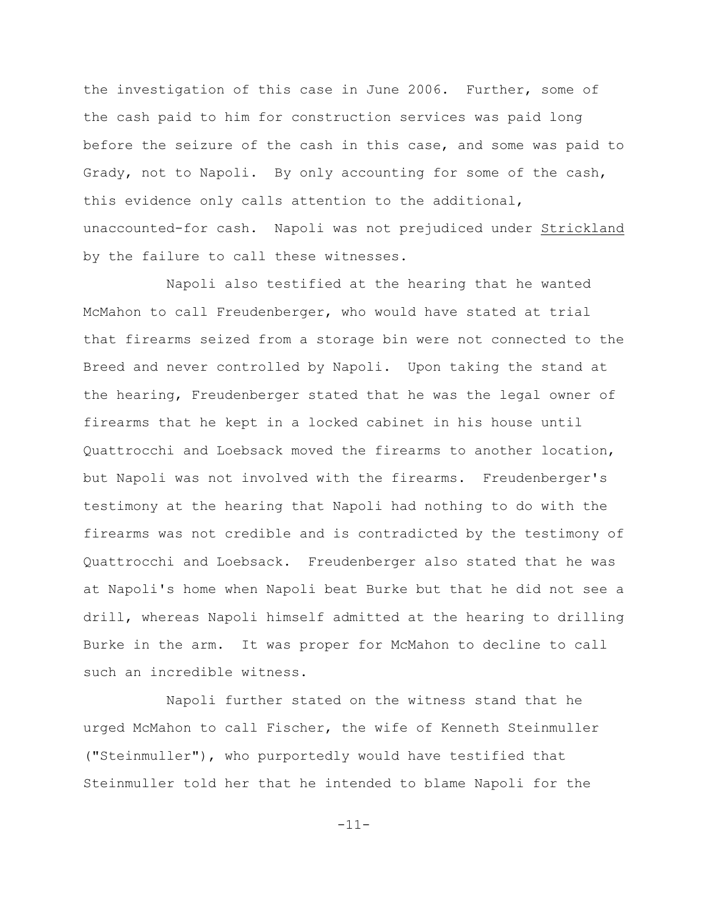the investigation of this case in June 2006. Further, some of the cash paid to him for construction services was paid long before the seizure of the cash in this case, and some was paid to Grady, not to Napoli. By only accounting for some of the cash, this evidence only calls attention to the additional, unaccounted-for cash. Napoli was not prejudiced under Strickland by the failure to call these witnesses.

Napoli also testified at the hearing that he wanted McMahon to call Freudenberger, who would have stated at trial that firearms seized from a storage bin were not connected to the Breed and never controlled by Napoli. Upon taking the stand at the hearing, Freudenberger stated that he was the legal owner of firearms that he kept in a locked cabinet in his house until Quattrocchi and Loebsack moved the firearms to another location, but Napoli was not involved with the firearms. Freudenberger's testimony at the hearing that Napoli had nothing to do with the firearms was not credible and is contradicted by the testimony of Quattrocchi and Loebsack. Freudenberger also stated that he was at Napoli's home when Napoli beat Burke but that he did not see a drill, whereas Napoli himself admitted at the hearing to drilling Burke in the arm. It was proper for McMahon to decline to call such an incredible witness.

Napoli further stated on the witness stand that he urged McMahon to call Fischer, the wife of Kenneth Steinmuller ("Steinmuller"), who purportedly would have testified that Steinmuller told her that he intended to blame Napoli for the

-11-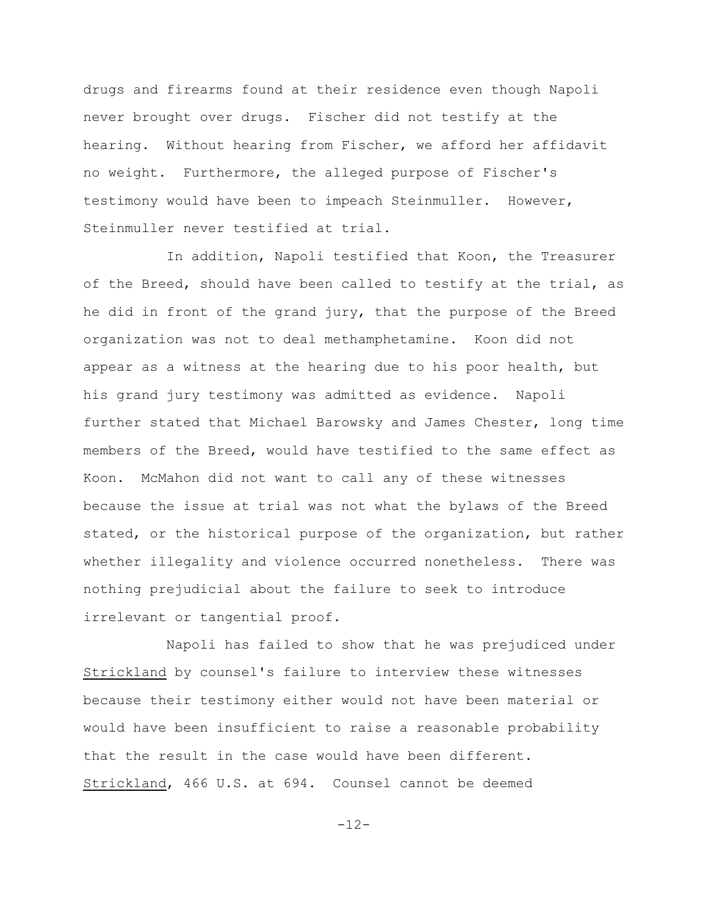drugs and firearms found at their residence even though Napoli never brought over drugs. Fischer did not testify at the hearing. Without hearing from Fischer, we afford her affidavit no weight. Furthermore, the alleged purpose of Fischer's testimony would have been to impeach Steinmuller. However, Steinmuller never testified at trial.

In addition, Napoli testified that Koon, the Treasurer of the Breed, should have been called to testify at the trial, as he did in front of the grand jury, that the purpose of the Breed organization was not to deal methamphetamine. Koon did not appear as a witness at the hearing due to his poor health, but his grand jury testimony was admitted as evidence. Napoli further stated that Michael Barowsky and James Chester, long time members of the Breed, would have testified to the same effect as Koon. McMahon did not want to call any of these witnesses because the issue at trial was not what the bylaws of the Breed stated, or the historical purpose of the organization, but rather whether illegality and violence occurred nonetheless. There was nothing prejudicial about the failure to seek to introduce irrelevant or tangential proof.

Napoli has failed to show that he was prejudiced under Strickland by counsel's failure to interview these witnesses because their testimony either would not have been material or would have been insufficient to raise a reasonable probability that the result in the case would have been different. Strickland, 466 U.S. at 694. Counsel cannot be deemed

 $-12-$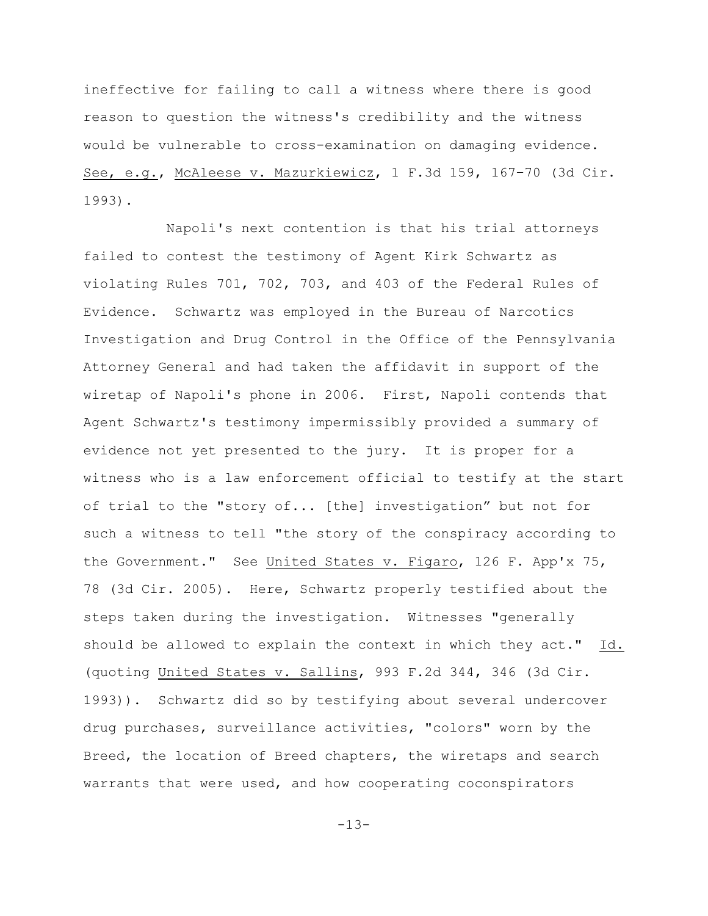ineffective for failing to call a witness where there is good reason to question the witness's credibility and the witness would be vulnerable to cross-examination on damaging evidence. See, e.g., McAleese v. Mazurkiewicz, 1 F.3d 159, 167–70 (3d Cir. 1993).

Napoli's next contention is that his trial attorneys failed to contest the testimony of Agent Kirk Schwartz as violating Rules 701, 702, 703, and 403 of the Federal Rules of Evidence. Schwartz was employed in the Bureau of Narcotics Investigation and Drug Control in the Office of the Pennsylvania Attorney General and had taken the affidavit in support of the wiretap of Napoli's phone in 2006. First, Napoli contends that Agent Schwartz's testimony impermissibly provided a summary of evidence not yet presented to the jury. It is proper for a witness who is a law enforcement official to testify at the start of trial to the "story of... [the] investigation" but not for such a witness to tell "the story of the conspiracy according to the Government." See United States v. Figaro, 126 F. App'x 75, 78 (3d Cir. 2005). Here, Schwartz properly testified about the steps taken during the investigation. Witnesses "generally should be allowed to explain the context in which they act." Id. (quoting United States v. Sallins, 993 F.2d 344, 346 (3d Cir. 1993)). Schwartz did so by testifying about several undercover drug purchases, surveillance activities, "colors" worn by the Breed, the location of Breed chapters, the wiretaps and search warrants that were used, and how cooperating coconspirators

-13-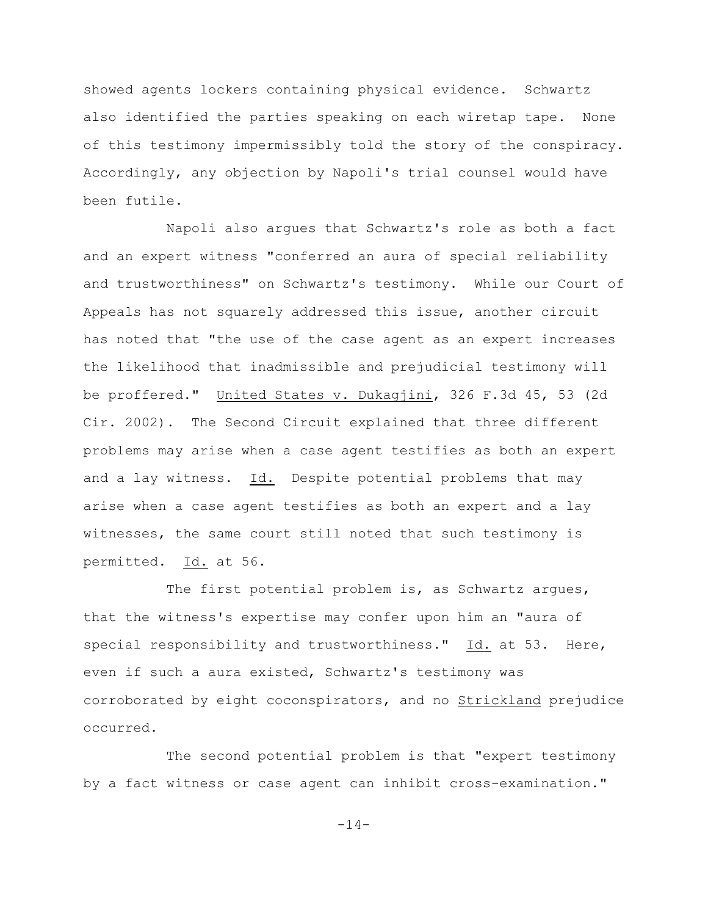showed agents lockers containing physical evidence. Schwartz also identified the parties speaking on each wiretap tape. None of this testimony impermissibly told the story of the conspiracy. Accordingly, any objection by Napoli's trial counsel would have been futile.

Napoli also argues that Schwartz's role as both a fact and an expert witness "conferred an aura of special reliability and trustworthiness" on Schwartz's testimony. While our Court of Appeals has not squarely addressed this issue, another circuit has noted that "the use of the case agent as an expert increases the likelihood that inadmissible and prejudicial testimony will be proffered." United States v. Dukagjini, 326 F.3d 45, 53 (2d Cir. 2002). The Second Circuit explained that three different problems may arise when a case agent testifies as both an expert and a lay witness. Id. Despite potential problems that may arise when a case agent testifies as both an expert and a lay witnesses, the same court still noted that such testimony is permitted. Id. at 56.

The first potential problem is, as Schwartz argues, that the witness's expertise may confer upon him an "aura of special responsibility and trustworthiness." Id. at 53. Here, even if such a aura existed, Schwartz's testimony was corroborated by eight coconspirators, and no Strickland prejudice occurred.

The second potential problem is that "expert testimony by a fact witness or case agent can inhibit cross-examination."

-14-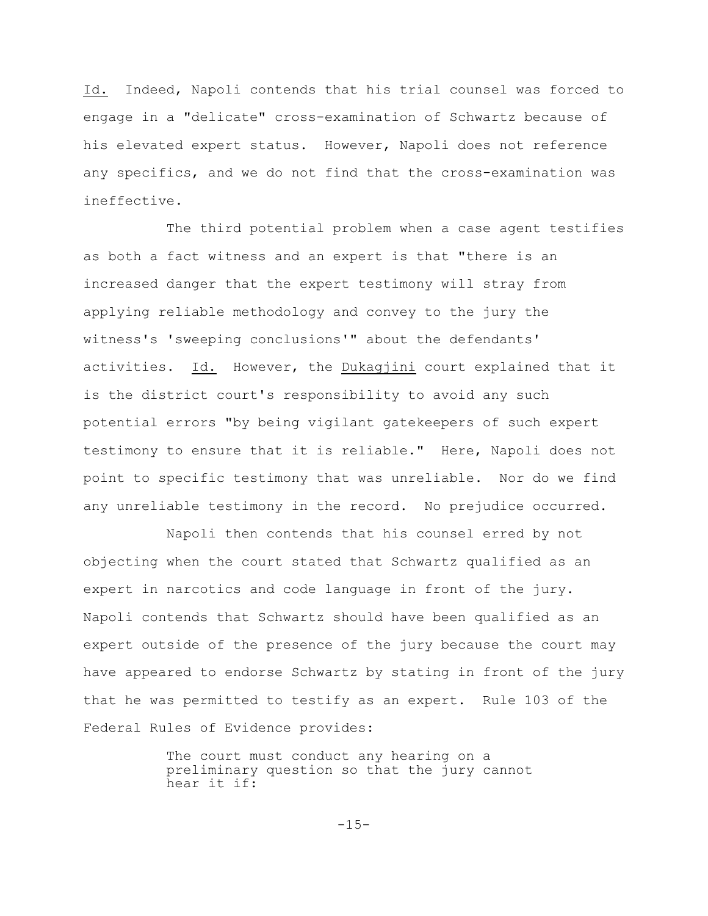Id. Indeed, Napoli contends that his trial counsel was forced to engage in a "delicate" cross-examination of Schwartz because of his elevated expert status. However, Napoli does not reference any specifics, and we do not find that the cross-examination was ineffective.

The third potential problem when a case agent testifies as both a fact witness and an expert is that "there is an increased danger that the expert testimony will stray from applying reliable methodology and convey to the jury the witness's 'sweeping conclusions'" about the defendants' activities. Id. However, the Dukagjini court explained that it is the district court's responsibility to avoid any such potential errors "by being vigilant gatekeepers of such expert testimony to ensure that it is reliable." Here, Napoli does not point to specific testimony that was unreliable. Nor do we find any unreliable testimony in the record. No prejudice occurred.

Napoli then contends that his counsel erred by not objecting when the court stated that Schwartz qualified as an expert in narcotics and code language in front of the jury. Napoli contends that Schwartz should have been qualified as an expert outside of the presence of the jury because the court may have appeared to endorse Schwartz by stating in front of the jury that he was permitted to testify as an expert. Rule 103 of the Federal Rules of Evidence provides:

> The court must conduct any hearing on a preliminary question so that the jury cannot hear it if:

> > $-15-$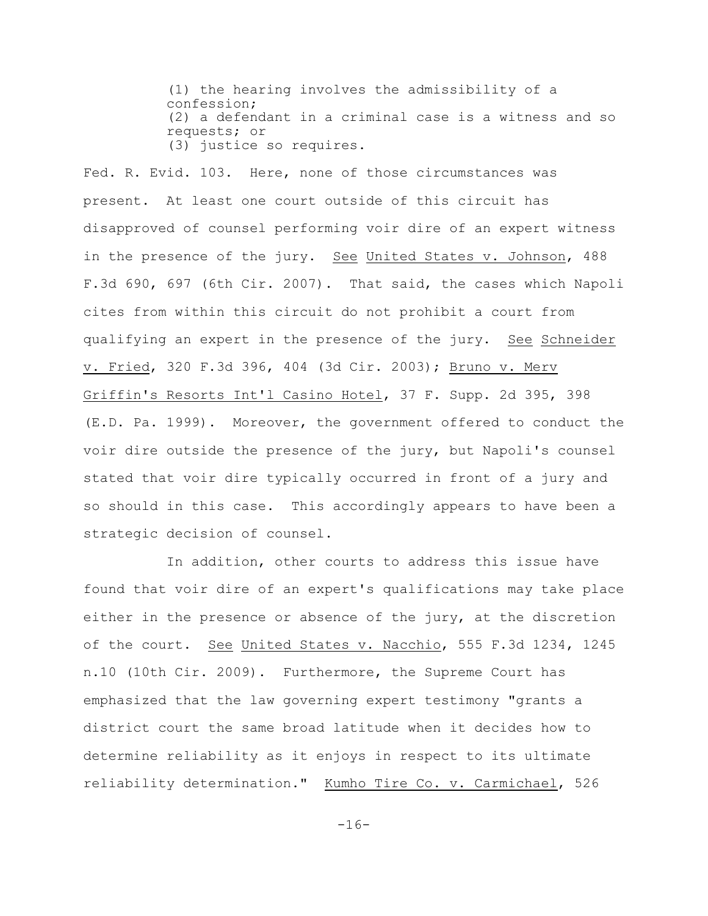(1) the hearing involves the admissibility of a confession; (2) a defendant in a criminal case is a witness and so requests; or (3) justice so requires.

Fed. R. Evid. 103. Here, none of those circumstances was present. At least one court outside of this circuit has disapproved of counsel performing voir dire of an expert witness in the presence of the jury. See United States v. Johnson, 488 F.3d 690, 697 (6th Cir. 2007). That said, the cases which Napoli cites from within this circuit do not prohibit a court from qualifying an expert in the presence of the jury. See Schneider v. Fried, 320 F.3d 396, 404 (3d Cir. 2003); Bruno v. Merv Griffin's Resorts Int'l Casino Hotel, 37 F. Supp. 2d 395, 398 (E.D. Pa. 1999). Moreover, the government offered to conduct the voir dire outside the presence of the jury, but Napoli's counsel stated that voir dire typically occurred in front of a jury and so should in this case. This accordingly appears to have been a strategic decision of counsel.

In addition, other courts to address this issue have found that voir dire of an expert's qualifications may take place either in the presence or absence of the jury, at the discretion of the court. See United States v. Nacchio, 555 F.3d 1234, 1245 n.10 (10th Cir. 2009). Furthermore, the Supreme Court has emphasized that the law governing expert testimony "grants a district court the same broad latitude when it decides how to determine reliability as it enjoys in respect to its ultimate reliability determination." Kumho Tire Co. v. Carmichael, 526

 $-16-$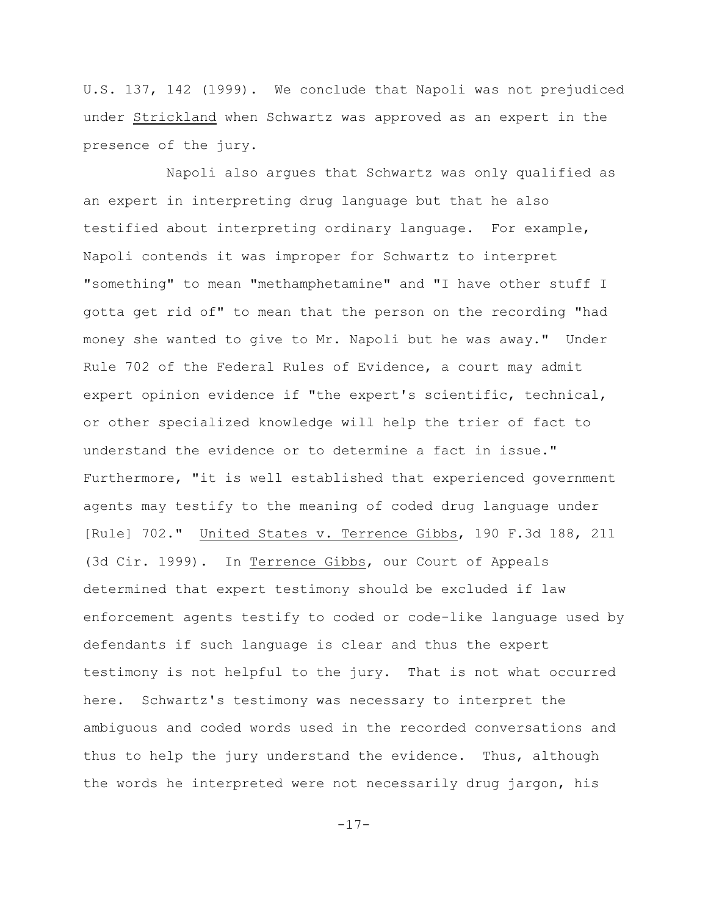U.S. 137, 142 (1999). We conclude that Napoli was not prejudiced under Strickland when Schwartz was approved as an expert in the presence of the jury.

Napoli also argues that Schwartz was only qualified as an expert in interpreting drug language but that he also testified about interpreting ordinary language. For example, Napoli contends it was improper for Schwartz to interpret "something" to mean "methamphetamine" and "I have other stuff I gotta get rid of" to mean that the person on the recording "had money she wanted to give to Mr. Napoli but he was away." Under Rule 702 of the Federal Rules of Evidence, a court may admit expert opinion evidence if "the expert's scientific, technical, or other specialized knowledge will help the trier of fact to understand the evidence or to determine a fact in issue." Furthermore, "it is well established that experienced government agents may testify to the meaning of coded drug language under [Rule] 702." United States v. Terrence Gibbs, 190 F.3d 188, 211 (3d Cir. 1999). In Terrence Gibbs, our Court of Appeals determined that expert testimony should be excluded if law enforcement agents testify to coded or code-like language used by defendants if such language is clear and thus the expert testimony is not helpful to the jury. That is not what occurred here. Schwartz's testimony was necessary to interpret the ambiguous and coded words used in the recorded conversations and thus to help the jury understand the evidence. Thus, although the words he interpreted were not necessarily drug jargon, his

-17-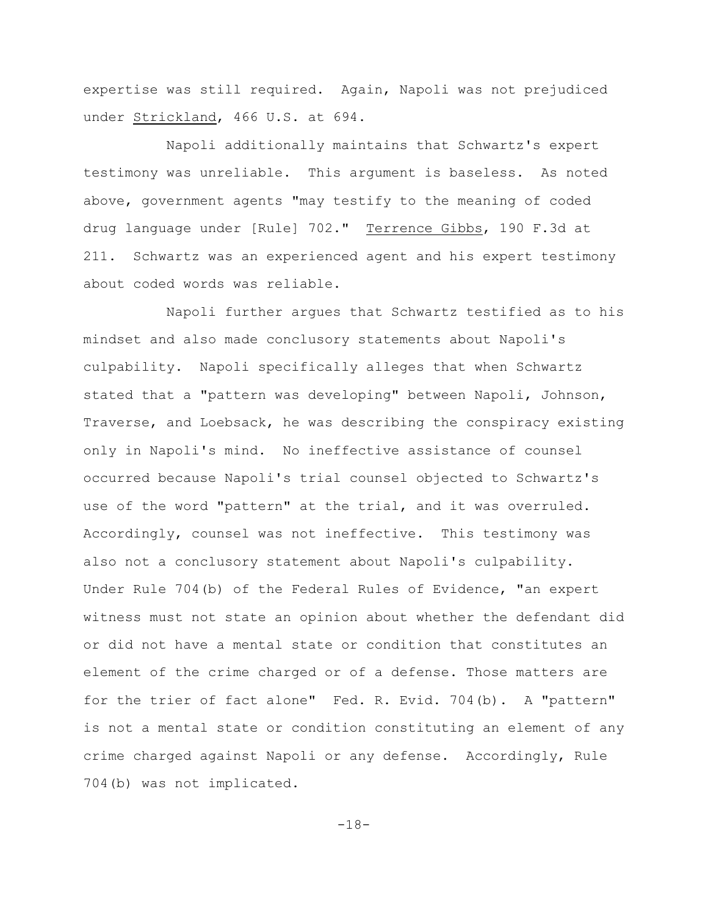expertise was still required. Again, Napoli was not prejudiced under Strickland, 466 U.S. at 694.

Napoli additionally maintains that Schwartz's expert testimony was unreliable. This argument is baseless. As noted above, government agents "may testify to the meaning of coded drug language under [Rule] 702." Terrence Gibbs, 190 F.3d at 211. Schwartz was an experienced agent and his expert testimony about coded words was reliable.

Napoli further argues that Schwartz testified as to his mindset and also made conclusory statements about Napoli's culpability. Napoli specifically alleges that when Schwartz stated that a "pattern was developing" between Napoli, Johnson, Traverse, and Loebsack, he was describing the conspiracy existing only in Napoli's mind. No ineffective assistance of counsel occurred because Napoli's trial counsel objected to Schwartz's use of the word "pattern" at the trial, and it was overruled. Accordingly, counsel was not ineffective. This testimony was also not a conclusory statement about Napoli's culpability. Under Rule 704(b) of the Federal Rules of Evidence, "an expert witness must not state an opinion about whether the defendant did or did not have a mental state or condition that constitutes an element of the crime charged or of a defense. Those matters are for the trier of fact alone" Fed. R. Evid. 704(b). A "pattern" is not a mental state or condition constituting an element of any crime charged against Napoli or any defense. Accordingly, Rule 704(b) was not implicated.

-18-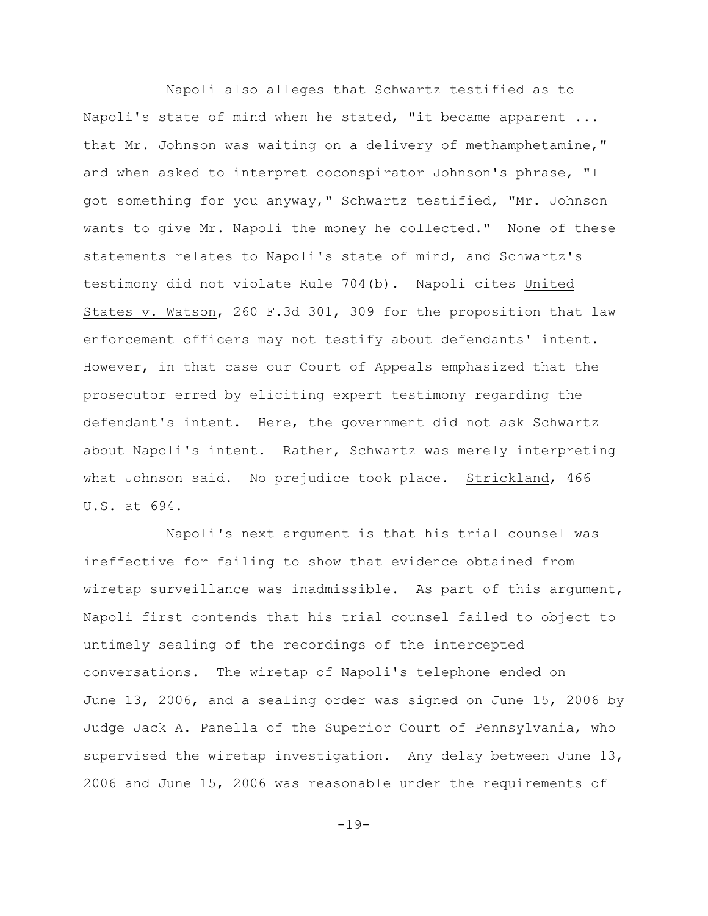Napoli also alleges that Schwartz testified as to Napoli's state of mind when he stated, "it became apparent ... that Mr. Johnson was waiting on a delivery of methamphetamine," and when asked to interpret coconspirator Johnson's phrase, "I got something for you anyway," Schwartz testified, "Mr. Johnson wants to give Mr. Napoli the money he collected." None of these statements relates to Napoli's state of mind, and Schwartz's testimony did not violate Rule 704(b). Napoli cites United States v. Watson, 260 F.3d 301, 309 for the proposition that law enforcement officers may not testify about defendants' intent. However, in that case our Court of Appeals emphasized that the prosecutor erred by eliciting expert testimony regarding the defendant's intent. Here, the government did not ask Schwartz about Napoli's intent. Rather, Schwartz was merely interpreting what Johnson said. No prejudice took place. Strickland, 466 U.S. at 694.

Napoli's next argument is that his trial counsel was ineffective for failing to show that evidence obtained from wiretap surveillance was inadmissible. As part of this argument, Napoli first contends that his trial counsel failed to object to untimely sealing of the recordings of the intercepted conversations. The wiretap of Napoli's telephone ended on June 13, 2006, and a sealing order was signed on June 15, 2006 by Judge Jack A. Panella of the Superior Court of Pennsylvania, who supervised the wiretap investigation. Any delay between June 13, 2006 and June 15, 2006 was reasonable under the requirements of

 $-19-$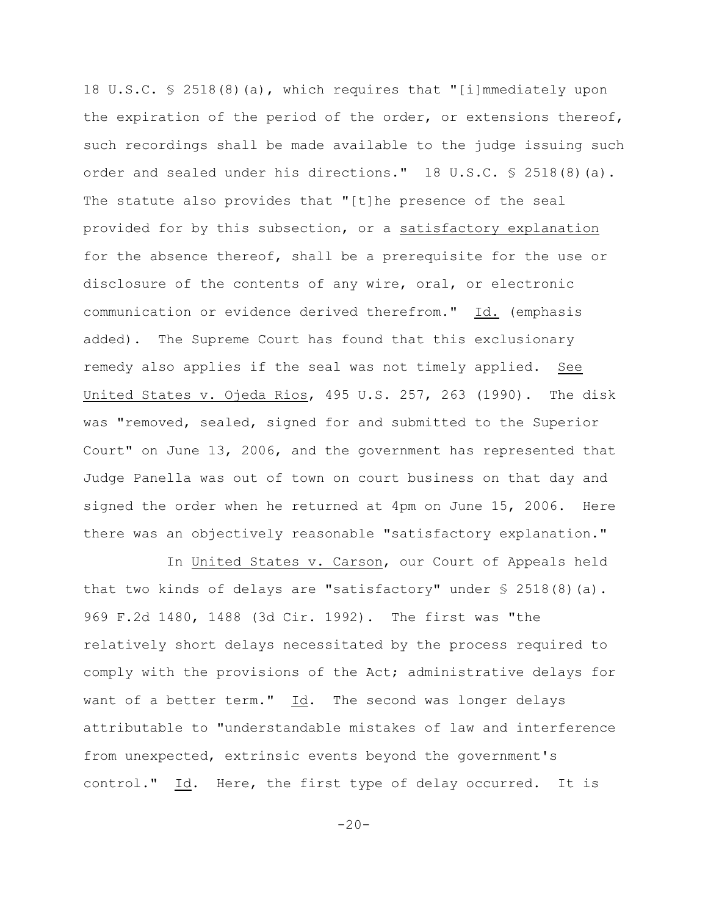18 U.S.C. § 2518(8)(a), which requires that "[i]mmediately upon the expiration of the period of the order, or extensions thereof, such recordings shall be made available to the judge issuing such order and sealed under his directions." 18 U.S.C. § 2518(8)(a). The statute also provides that "[t]he presence of the seal provided for by this subsection, or a satisfactory explanation for the absence thereof, shall be a prerequisite for the use or disclosure of the contents of any wire, oral, or electronic communication or evidence derived therefrom." Id. (emphasis added). The Supreme Court has found that this exclusionary remedy also applies if the seal was not timely applied. See United States v. Ojeda Rios, 495 U.S. 257, 263 (1990). The disk was "removed, sealed, signed for and submitted to the Superior Court" on June 13, 2006, and the government has represented that Judge Panella was out of town on court business on that day and signed the order when he returned at 4pm on June 15, 2006. Here there was an objectively reasonable "satisfactory explanation."

In United States v. Carson, our Court of Appeals held that two kinds of delays are "satisfactory" under  $\frac{1}{5}$  2518(8)(a). 969 F.2d 1480, 1488 (3d Cir. 1992). The first was "the relatively short delays necessitated by the process required to comply with the provisions of the Act; administrative delays for want of a better term." Id. The second was longer delays attributable to "understandable mistakes of law and interference from unexpected, extrinsic events beyond the government's control." Id. Here, the first type of delay occurred. It is

 $-20-$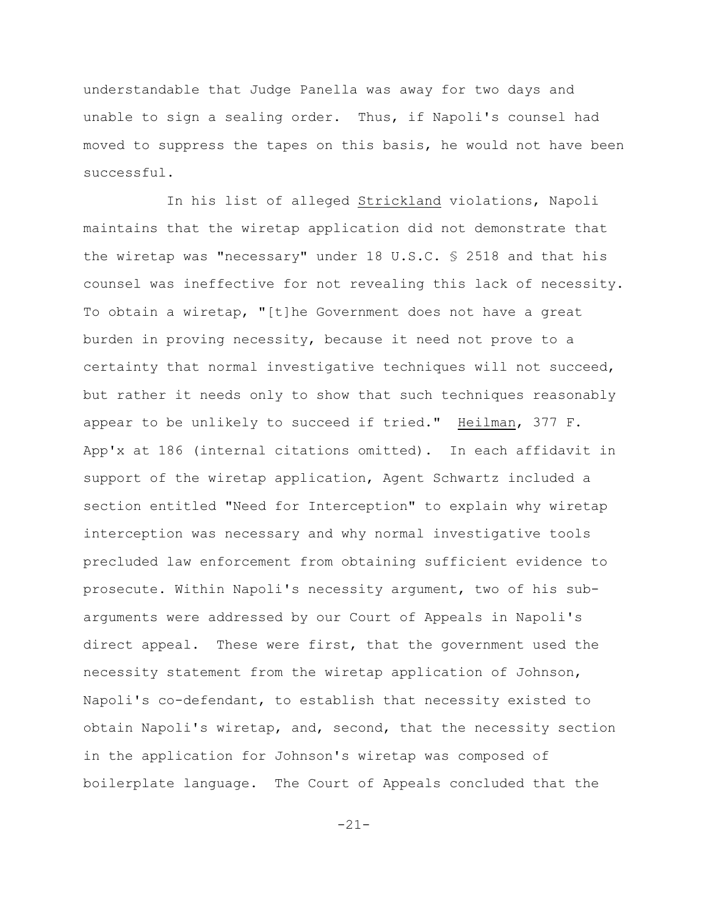understandable that Judge Panella was away for two days and unable to sign a sealing order. Thus, if Napoli's counsel had moved to suppress the tapes on this basis, he would not have been successful.

In his list of alleged Strickland violations, Napoli maintains that the wiretap application did not demonstrate that the wiretap was "necessary" under 18 U.S.C. § 2518 and that his counsel was ineffective for not revealing this lack of necessity. To obtain a wiretap, "[t]he Government does not have a great burden in proving necessity, because it need not prove to a certainty that normal investigative techniques will not succeed, but rather it needs only to show that such techniques reasonably appear to be unlikely to succeed if tried." Heilman, 377 F. App'x at 186 (internal citations omitted). In each affidavit in support of the wiretap application, Agent Schwartz included a section entitled "Need for Interception" to explain why wiretap interception was necessary and why normal investigative tools precluded law enforcement from obtaining sufficient evidence to prosecute. Within Napoli's necessity argument, two of his subarguments were addressed by our Court of Appeals in Napoli's direct appeal. These were first, that the government used the necessity statement from the wiretap application of Johnson, Napoli's co-defendant, to establish that necessity existed to obtain Napoli's wiretap, and, second, that the necessity section in the application for Johnson's wiretap was composed of boilerplate language. The Court of Appeals concluded that the

-21-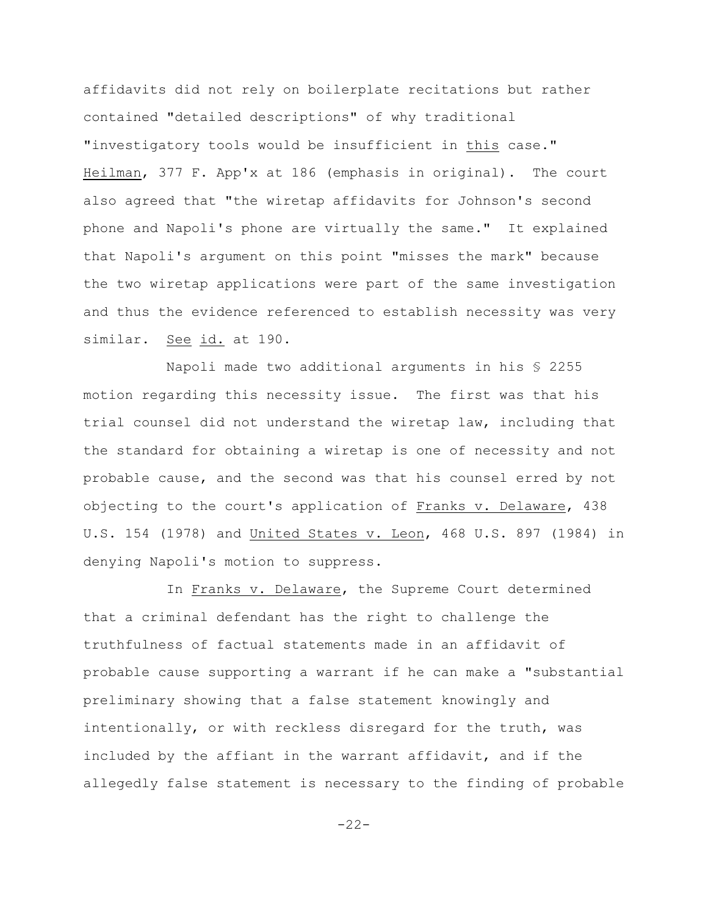affidavits did not rely on boilerplate recitations but rather contained "detailed descriptions" of why traditional "investigatory tools would be insufficient in this case." Heilman, 377 F. App'x at 186 (emphasis in original). The court also agreed that "the wiretap affidavits for Johnson's second phone and Napoli's phone are virtually the same." It explained that Napoli's argument on this point "misses the mark" because the two wiretap applications were part of the same investigation and thus the evidence referenced to establish necessity was very similar. See id. at 190.

Napoli made two additional arguments in his § 2255 motion regarding this necessity issue. The first was that his trial counsel did not understand the wiretap law, including that the standard for obtaining a wiretap is one of necessity and not probable cause, and the second was that his counsel erred by not objecting to the court's application of Franks v. Delaware, 438 U.S. 154 (1978) and United States v. Leon, 468 U.S. 897 (1984) in denying Napoli's motion to suppress.

In Franks v. Delaware, the Supreme Court determined that a criminal defendant has the right to challenge the truthfulness of factual statements made in an affidavit of probable cause supporting a warrant if he can make a "substantial preliminary showing that a false statement knowingly and intentionally, or with reckless disregard for the truth, was included by the affiant in the warrant affidavit, and if the allegedly false statement is necessary to the finding of probable

```
-22-
```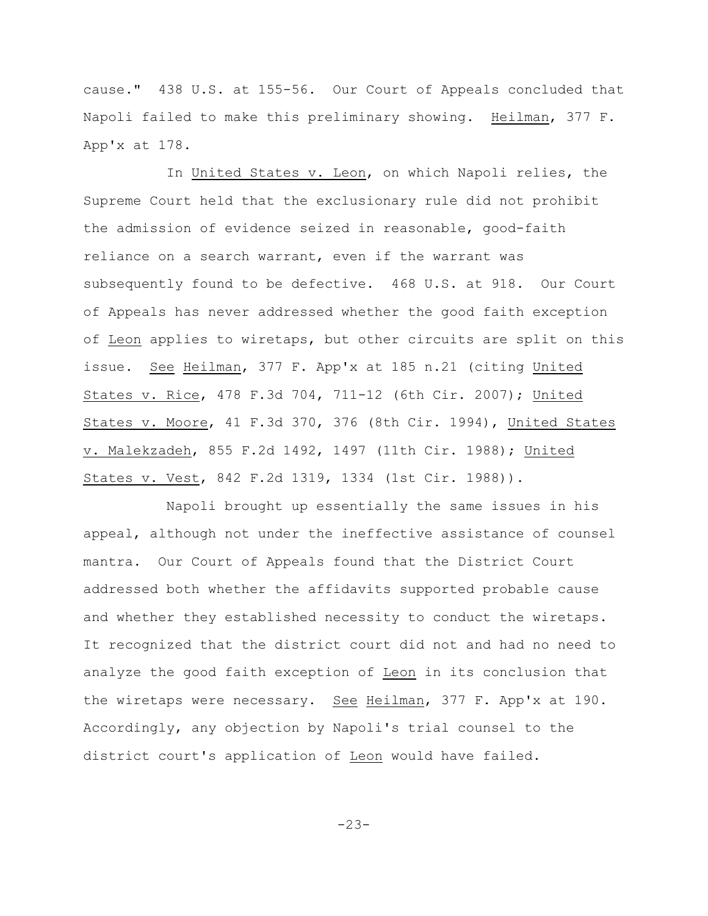cause." 438 U.S. at 155-56. Our Court of Appeals concluded that Napoli failed to make this preliminary showing. Heilman, 377 F. App'x at 178.

In United States v. Leon, on which Napoli relies, the Supreme Court held that the exclusionary rule did not prohibit the admission of evidence seized in reasonable, good-faith reliance on a search warrant, even if the warrant was subsequently found to be defective. 468 U.S. at 918. Our Court of Appeals has never addressed whether the good faith exception of Leon applies to wiretaps, but other circuits are split on this issue. See Heilman, 377 F. App'x at 185 n.21 (citing United States v. Rice, 478 F.3d 704, 711-12 (6th Cir. 2007); United States v. Moore, 41 F.3d 370, 376 (8th Cir. 1994), United States v. Malekzadeh, 855 F.2d 1492, 1497 (11th Cir. 1988); United States v. Vest, 842 F.2d 1319, 1334 (1st Cir. 1988)).

Napoli brought up essentially the same issues in his appeal, although not under the ineffective assistance of counsel mantra. Our Court of Appeals found that the District Court addressed both whether the affidavits supported probable cause and whether they established necessity to conduct the wiretaps. It recognized that the district court did not and had no need to analyze the good faith exception of Leon in its conclusion that the wiretaps were necessary. See Heilman, 377 F. App'x at 190. Accordingly, any objection by Napoli's trial counsel to the district court's application of Leon would have failed.

-23-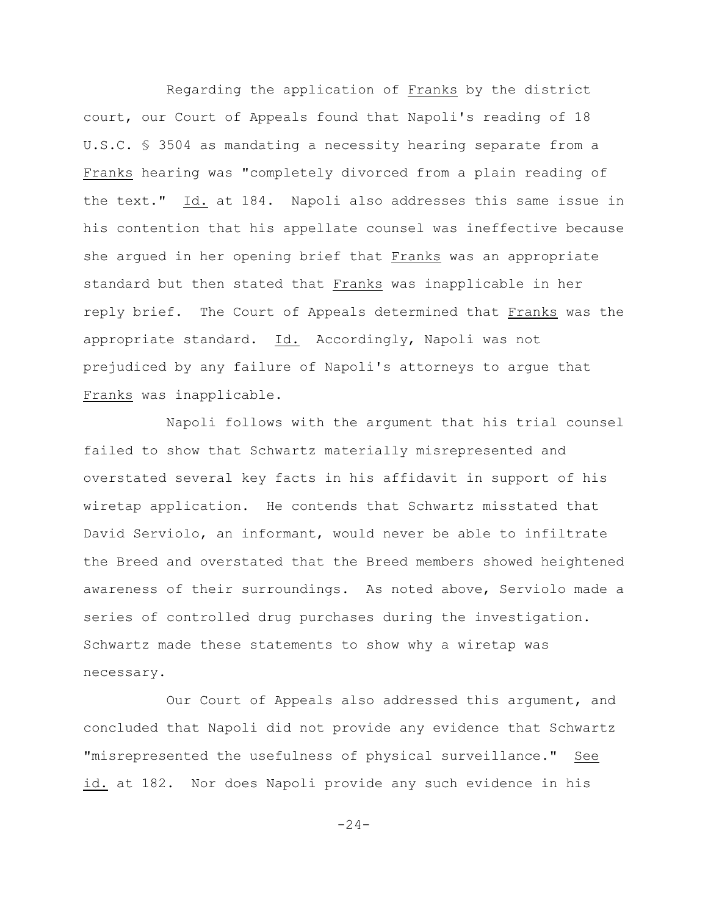Regarding the application of Franks by the district court, our Court of Appeals found that Napoli's reading of 18 U.S.C. § 3504 as mandating a necessity hearing separate from a Franks hearing was "completely divorced from a plain reading of the text." Id. at 184. Napoli also addresses this same issue in his contention that his appellate counsel was ineffective because she argued in her opening brief that Franks was an appropriate standard but then stated that Franks was inapplicable in her reply brief. The Court of Appeals determined that Franks was the appropriate standard. Id. Accordingly, Napoli was not prejudiced by any failure of Napoli's attorneys to argue that Franks was inapplicable.

Napoli follows with the argument that his trial counsel failed to show that Schwartz materially misrepresented and overstated several key facts in his affidavit in support of his wiretap application. He contends that Schwartz misstated that David Serviolo, an informant, would never be able to infiltrate the Breed and overstated that the Breed members showed heightened awareness of their surroundings. As noted above, Serviolo made a series of controlled drug purchases during the investigation. Schwartz made these statements to show why a wiretap was necessary.

Our Court of Appeals also addressed this argument, and concluded that Napoli did not provide any evidence that Schwartz "misrepresented the usefulness of physical surveillance." See id. at 182. Nor does Napoli provide any such evidence in his

 $-24-$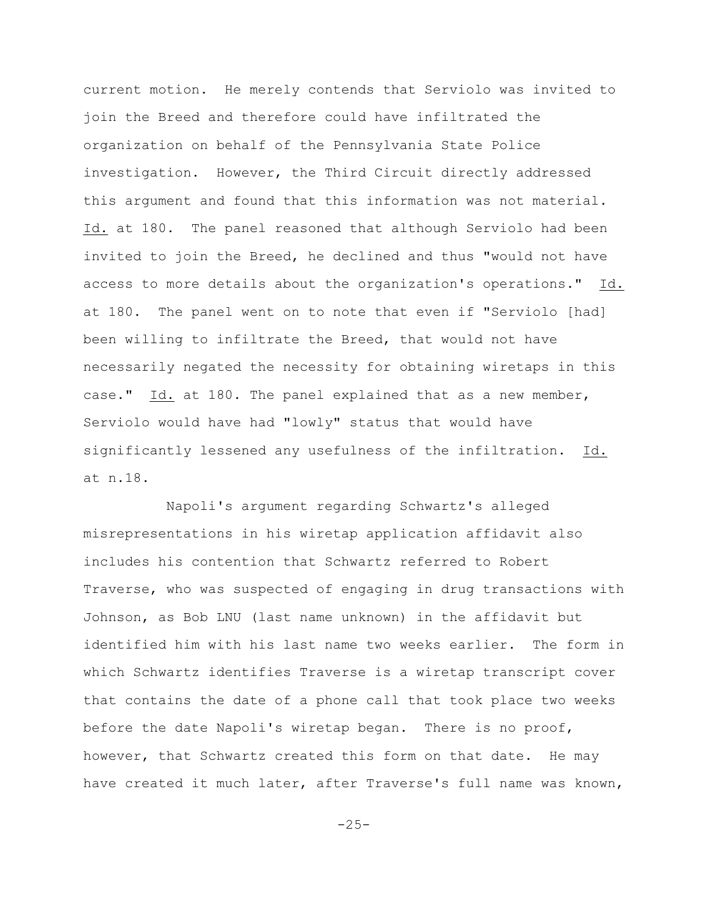current motion. He merely contends that Serviolo was invited to join the Breed and therefore could have infiltrated the organization on behalf of the Pennsylvania State Police investigation. However, the Third Circuit directly addressed this argument and found that this information was not material. Id. at 180. The panel reasoned that although Serviolo had been invited to join the Breed, he declined and thus "would not have access to more details about the organization's operations." Id. at 180. The panel went on to note that even if "Serviolo [had] been willing to infiltrate the Breed, that would not have necessarily negated the necessity for obtaining wiretaps in this case." Id. at 180. The panel explained that as a new member, Serviolo would have had "lowly" status that would have significantly lessened any usefulness of the infiltration. Id. at n.18.

Napoli's argument regarding Schwartz's alleged misrepresentations in his wiretap application affidavit also includes his contention that Schwartz referred to Robert Traverse, who was suspected of engaging in drug transactions with Johnson, as Bob LNU (last name unknown) in the affidavit but identified him with his last name two weeks earlier. The form in which Schwartz identifies Traverse is a wiretap transcript cover that contains the date of a phone call that took place two weeks before the date Napoli's wiretap began. There is no proof, however, that Schwartz created this form on that date. He may have created it much later, after Traverse's full name was known,

 $-25-$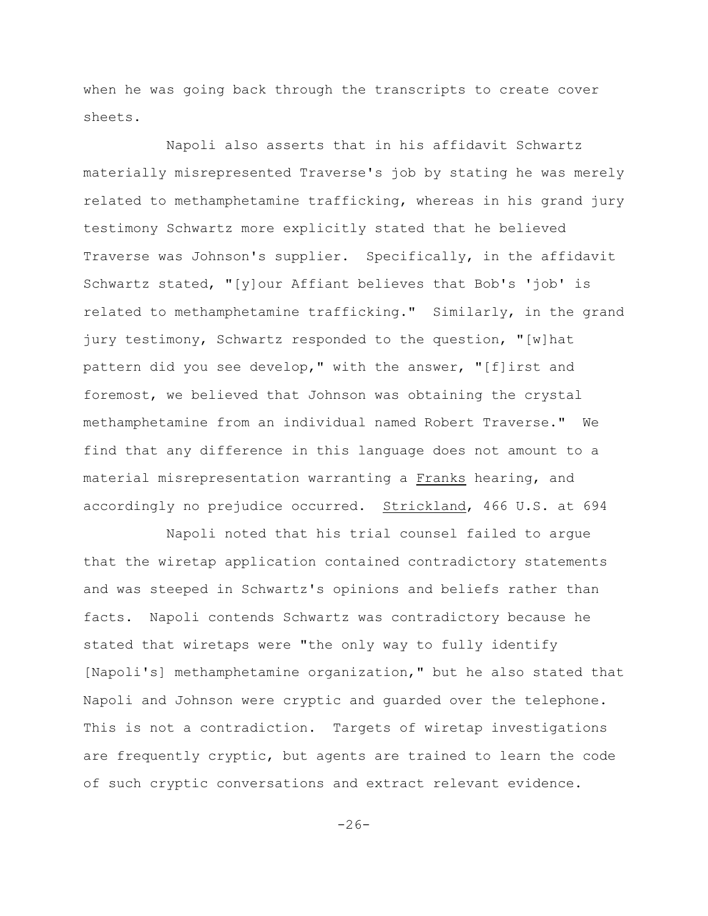when he was going back through the transcripts to create cover sheets.

Napoli also asserts that in his affidavit Schwartz materially misrepresented Traverse's job by stating he was merely related to methamphetamine trafficking, whereas in his grand jury testimony Schwartz more explicitly stated that he believed Traverse was Johnson's supplier. Specifically, in the affidavit Schwartz stated, "[y]our Affiant believes that Bob's 'job' is related to methamphetamine trafficking." Similarly, in the grand jury testimony, Schwartz responded to the question, "[w]hat pattern did you see develop," with the answer, "[f]irst and foremost, we believed that Johnson was obtaining the crystal methamphetamine from an individual named Robert Traverse." We find that any difference in this language does not amount to a material misrepresentation warranting a Franks hearing, and accordingly no prejudice occurred. Strickland, 466 U.S. at 694

Napoli noted that his trial counsel failed to argue that the wiretap application contained contradictory statements and was steeped in Schwartz's opinions and beliefs rather than facts. Napoli contends Schwartz was contradictory because he stated that wiretaps were "the only way to fully identify [Napoli's] methamphetamine organization," but he also stated that Napoli and Johnson were cryptic and guarded over the telephone. This is not a contradiction. Targets of wiretap investigations are frequently cryptic, but agents are trained to learn the code of such cryptic conversations and extract relevant evidence.

 $-26-$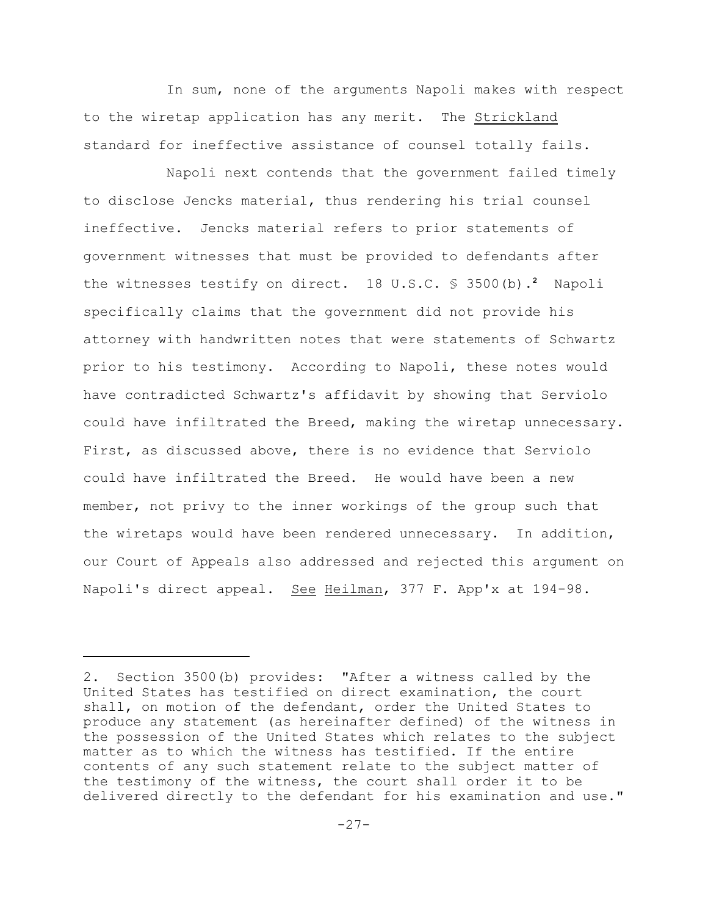In sum, none of the arguments Napoli makes with respect to the wiretap application has any merit. The Strickland standard for ineffective assistance of counsel totally fails.

Napoli next contends that the government failed timely to disclose Jencks material, thus rendering his trial counsel ineffective. Jencks material refers to prior statements of government witnesses that must be provided to defendants after the witnesses testify on direct.  $18 \text{ U.S.C. }$  \$ 3500(b).<sup>2</sup> Napoli specifically claims that the government did not provide his attorney with handwritten notes that were statements of Schwartz prior to his testimony. According to Napoli, these notes would have contradicted Schwartz's affidavit by showing that Serviolo could have infiltrated the Breed, making the wiretap unnecessary. First, as discussed above, there is no evidence that Serviolo could have infiltrated the Breed. He would have been a new member, not privy to the inner workings of the group such that the wiretaps would have been rendered unnecessary. In addition, our Court of Appeals also addressed and rejected this argument on Napoli's direct appeal. See Heilman, 377 F. App'x at 194-98.

<sup>2.</sup> Section 3500(b) provides: "After a witness called by the United States has testified on direct examination, the court shall, on motion of the defendant, order the United States to produce any statement (as hereinafter defined) of the witness in the possession of the United States which relates to the subject matter as to which the witness has testified. If the entire contents of any such statement relate to the subject matter of the testimony of the witness, the court shall order it to be delivered directly to the defendant for his examination and use."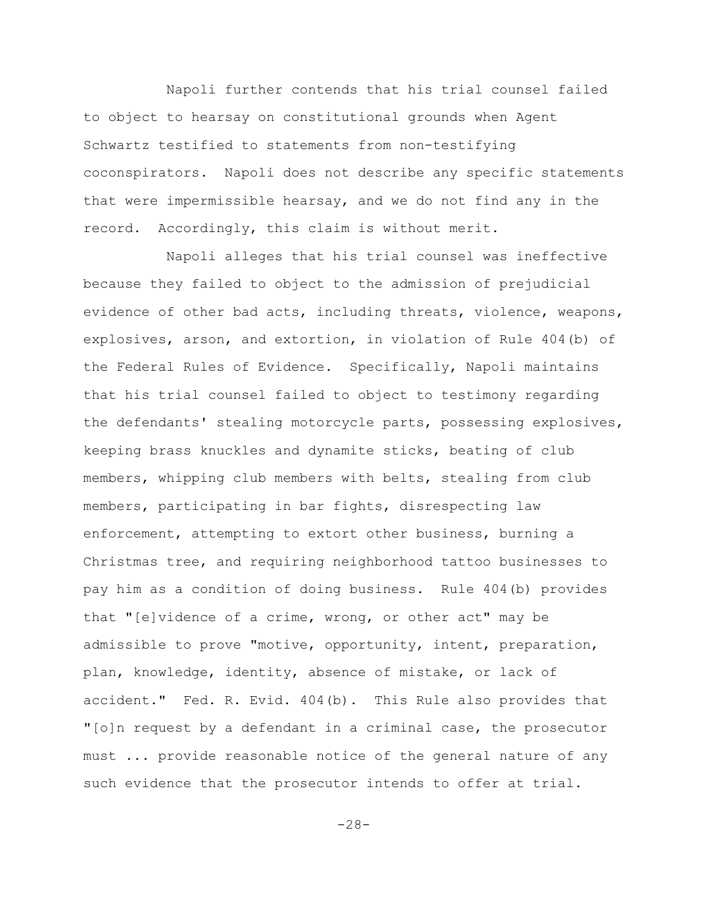Napoli further contends that his trial counsel failed to object to hearsay on constitutional grounds when Agent Schwartz testified to statements from non-testifying coconspirators. Napoli does not describe any specific statements that were impermissible hearsay, and we do not find any in the record. Accordingly, this claim is without merit.

Napoli alleges that his trial counsel was ineffective because they failed to object to the admission of prejudicial evidence of other bad acts, including threats, violence, weapons, explosives, arson, and extortion, in violation of Rule 404(b) of the Federal Rules of Evidence. Specifically, Napoli maintains that his trial counsel failed to object to testimony regarding the defendants' stealing motorcycle parts, possessing explosives, keeping brass knuckles and dynamite sticks, beating of club members, whipping club members with belts, stealing from club members, participating in bar fights, disrespecting law enforcement, attempting to extort other business, burning a Christmas tree, and requiring neighborhood tattoo businesses to pay him as a condition of doing business. Rule 404(b) provides that "[e]vidence of a crime, wrong, or other act" may be admissible to prove "motive, opportunity, intent, preparation, plan, knowledge, identity, absence of mistake, or lack of accident." Fed. R. Evid. 404(b). This Rule also provides that "[o]n request by a defendant in a criminal case, the prosecutor must ... provide reasonable notice of the general nature of any such evidence that the prosecutor intends to offer at trial.

-28-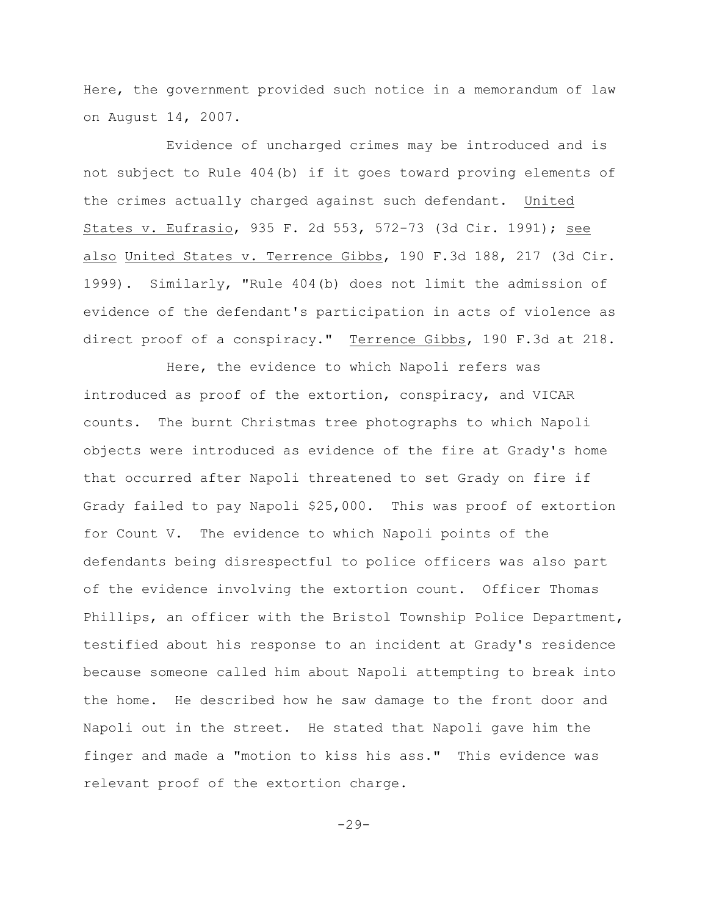Here, the government provided such notice in a memorandum of law on August 14, 2007.

Evidence of uncharged crimes may be introduced and is not subject to Rule 404(b) if it goes toward proving elements of the crimes actually charged against such defendant. United States v. Eufrasio, 935 F. 2d 553, 572-73 (3d Cir. 1991); see also United States v. Terrence Gibbs, 190 F.3d 188, 217 (3d Cir. 1999). Similarly, "Rule 404(b) does not limit the admission of evidence of the defendant's participation in acts of violence as direct proof of a conspiracy." Terrence Gibbs, 190 F.3d at 218.

Here, the evidence to which Napoli refers was introduced as proof of the extortion, conspiracy, and VICAR counts. The burnt Christmas tree photographs to which Napoli objects were introduced as evidence of the fire at Grady's home that occurred after Napoli threatened to set Grady on fire if Grady failed to pay Napoli \$25,000. This was proof of extortion for Count V. The evidence to which Napoli points of the defendants being disrespectful to police officers was also part of the evidence involving the extortion count. Officer Thomas Phillips, an officer with the Bristol Township Police Department, testified about his response to an incident at Grady's residence because someone called him about Napoli attempting to break into the home. He described how he saw damage to the front door and Napoli out in the street. He stated that Napoli gave him the finger and made a "motion to kiss his ass." This evidence was relevant proof of the extortion charge.

 $-29-$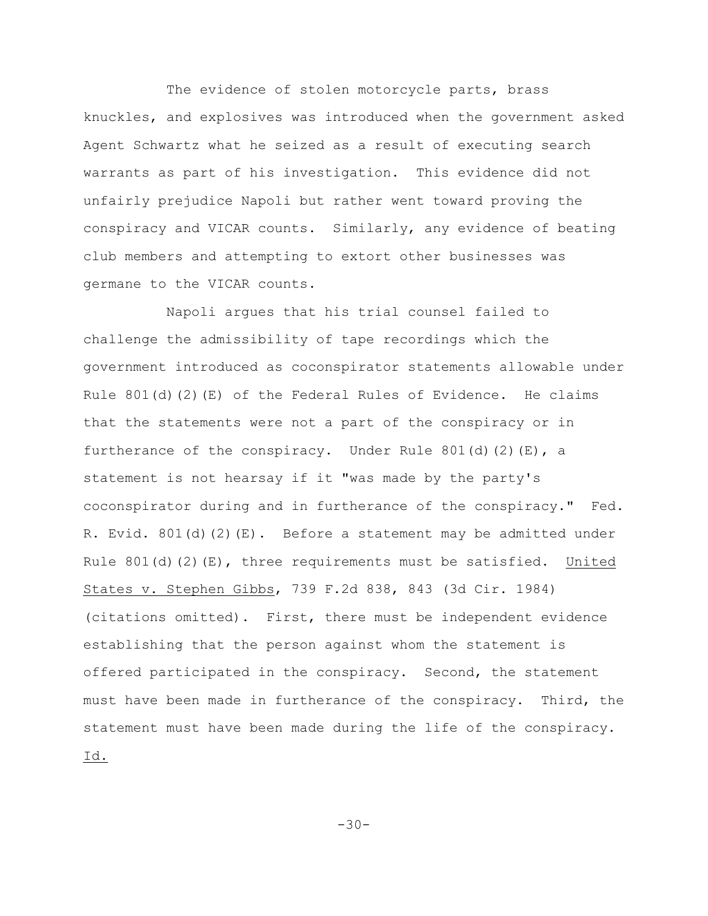The evidence of stolen motorcycle parts, brass knuckles, and explosives was introduced when the government asked Agent Schwartz what he seized as a result of executing search warrants as part of his investigation. This evidence did not unfairly prejudice Napoli but rather went toward proving the conspiracy and VICAR counts. Similarly, any evidence of beating club members and attempting to extort other businesses was germane to the VICAR counts.

Napoli argues that his trial counsel failed to challenge the admissibility of tape recordings which the government introduced as coconspirator statements allowable under Rule  $801(d)(2)(E)$  of the Federal Rules of Evidence. He claims that the statements were not a part of the conspiracy or in furtherance of the conspiracy. Under Rule 801(d)(2)(E), a statement is not hearsay if it "was made by the party's coconspirator during and in furtherance of the conspiracy." Fed. R. Evid. 801(d)(2)(E). Before a statement may be admitted under Rule  $801(d)(2)(E)$ , three requirements must be satisfied. United States v. Stephen Gibbs, 739 F.2d 838, 843 (3d Cir. 1984) (citations omitted). First, there must be independent evidence establishing that the person against whom the statement is offered participated in the conspiracy. Second, the statement must have been made in furtherance of the conspiracy. Third, the statement must have been made during the life of the conspiracy. Id.

-30-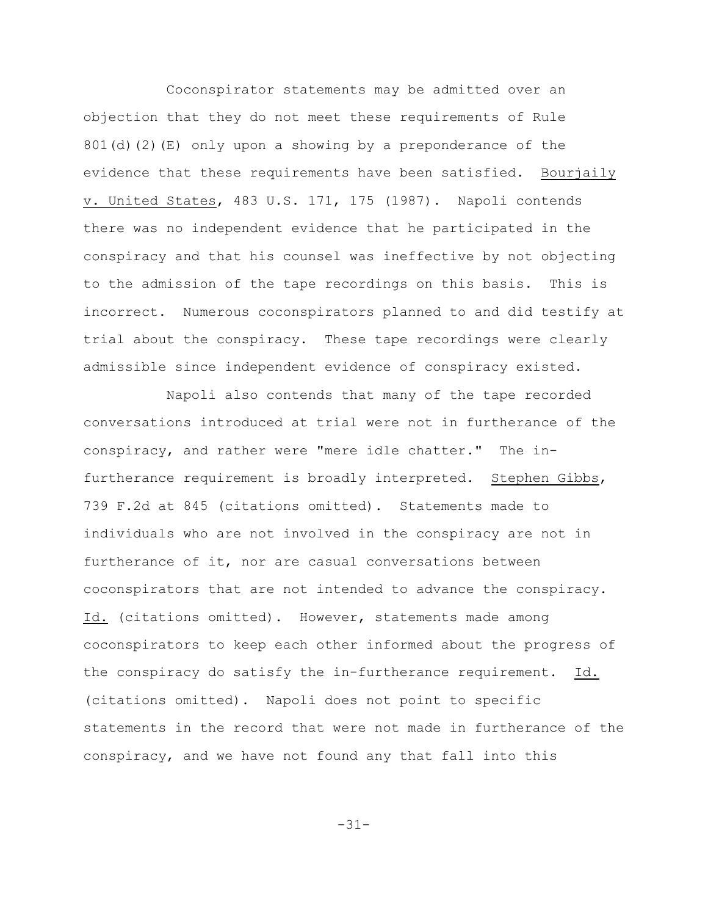Coconspirator statements may be admitted over an objection that they do not meet these requirements of Rule  $801(d)(2)(E)$  only upon a showing by a preponderance of the evidence that these requirements have been satisfied. Bourjaily v. United States, 483 U.S. 171, 175 (1987). Napoli contends there was no independent evidence that he participated in the conspiracy and that his counsel was ineffective by not objecting to the admission of the tape recordings on this basis. This is incorrect. Numerous coconspirators planned to and did testify at trial about the conspiracy. These tape recordings were clearly admissible since independent evidence of conspiracy existed.

Napoli also contends that many of the tape recorded conversations introduced at trial were not in furtherance of the conspiracy, and rather were "mere idle chatter." The infurtherance requirement is broadly interpreted. Stephen Gibbs, 739 F.2d at 845 (citations omitted). Statements made to individuals who are not involved in the conspiracy are not in furtherance of it, nor are casual conversations between coconspirators that are not intended to advance the conspiracy. Id. (citations omitted). However, statements made among coconspirators to keep each other informed about the progress of the conspiracy do satisfy the in-furtherance requirement. Id. (citations omitted). Napoli does not point to specific statements in the record that were not made in furtherance of the conspiracy, and we have not found any that fall into this

-31-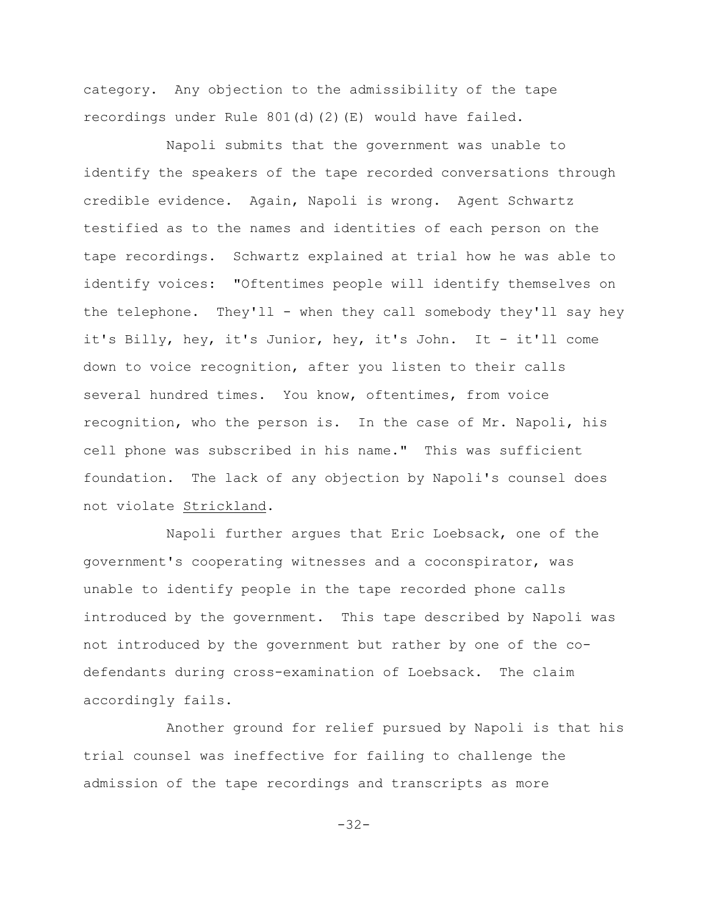category. Any objection to the admissibility of the tape recordings under Rule  $801(d)(2)(E)$  would have failed.

Napoli submits that the government was unable to identify the speakers of the tape recorded conversations through credible evidence. Again, Napoli is wrong. Agent Schwartz testified as to the names and identities of each person on the tape recordings. Schwartz explained at trial how he was able to identify voices: "Oftentimes people will identify themselves on the telephone. They'll - when they call somebody they'll say hey it's Billy, hey, it's Junior, hey, it's John. It - it'll come down to voice recognition, after you listen to their calls several hundred times. You know, oftentimes, from voice recognition, who the person is. In the case of Mr. Napoli, his cell phone was subscribed in his name." This was sufficient foundation. The lack of any objection by Napoli's counsel does not violate Strickland.

Napoli further argues that Eric Loebsack, one of the government's cooperating witnesses and a coconspirator, was unable to identify people in the tape recorded phone calls introduced by the government. This tape described by Napoli was not introduced by the government but rather by one of the codefendants during cross-examination of Loebsack. The claim accordingly fails.

Another ground for relief pursued by Napoli is that his trial counsel was ineffective for failing to challenge the admission of the tape recordings and transcripts as more

-32-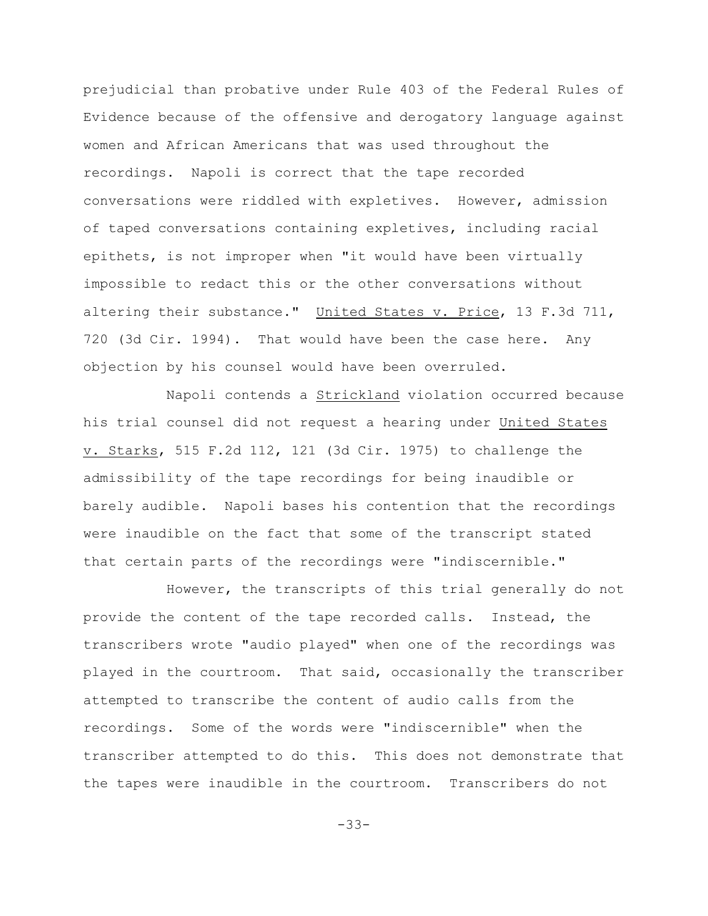prejudicial than probative under Rule 403 of the Federal Rules of Evidence because of the offensive and derogatory language against women and African Americans that was used throughout the recordings. Napoli is correct that the tape recorded conversations were riddled with expletives. However, admission of taped conversations containing expletives, including racial epithets, is not improper when "it would have been virtually impossible to redact this or the other conversations without altering their substance." United States v. Price, 13 F.3d 711, 720 (3d Cir. 1994). That would have been the case here. Any objection by his counsel would have been overruled.

Napoli contends a Strickland violation occurred because his trial counsel did not request a hearing under United States v. Starks, 515 F.2d 112, 121 (3d Cir. 1975) to challenge the admissibility of the tape recordings for being inaudible or barely audible. Napoli bases his contention that the recordings were inaudible on the fact that some of the transcript stated that certain parts of the recordings were "indiscernible."

However, the transcripts of this trial generally do not provide the content of the tape recorded calls. Instead, the transcribers wrote "audio played" when one of the recordings was played in the courtroom. That said, occasionally the transcriber attempted to transcribe the content of audio calls from the recordings. Some of the words were "indiscernible" when the transcriber attempted to do this. This does not demonstrate that the tapes were inaudible in the courtroom. Transcribers do not

-33-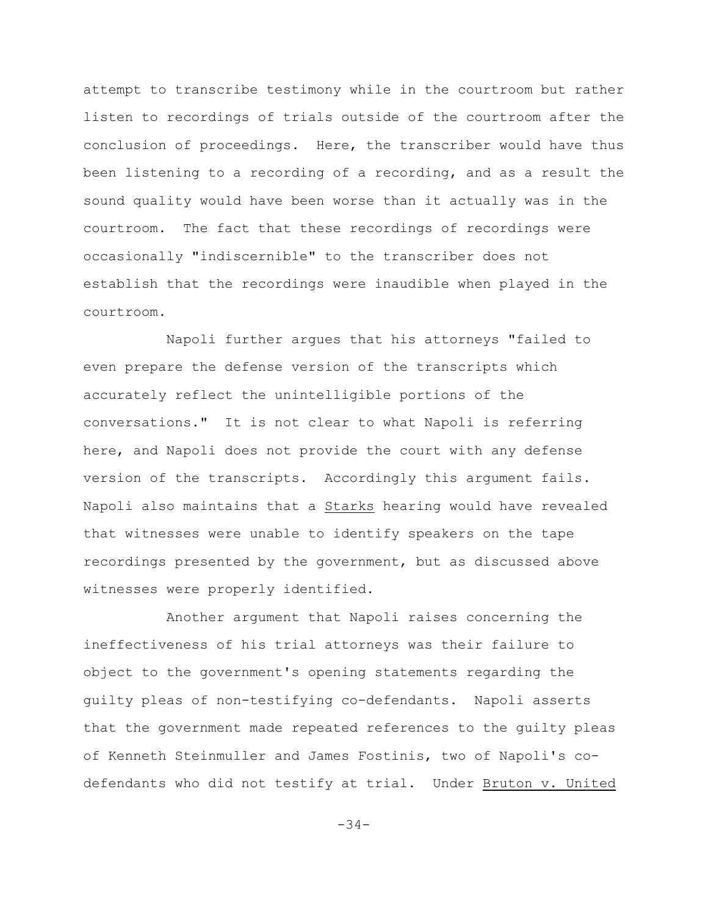attempt to transcribe testimony while in the courtroom but rather listen to recordings of trials outside of the courtroom after the conclusion of proceedings. Here, the transcriber would have thus been listening to a recording of a recording, and as a result the sound quality would have been worse than it actually was in the courtroom. The fact that these recordings of recordings were occasionally "indiscernible" to the transcriber does not establish that the recordings were inaudible when played in the courtroom.

Napoli further argues that his attorneys "failed to even prepare the defense version of the transcripts which accurately reflect the unintelligible portions of the conversations." It is not clear to what Napoli is referring here, and Napoli does not provide the court with any defense version of the transcripts. Accordingly this argument fails. Napoli also maintains that a Starks hearing would have revealed that witnesses were unable to identify speakers on the tape recordings presented by the government, but as discussed above witnesses were properly identified.

Another argument that Napoli raises concerning the ineffectiveness of his trial attorneys was their failure to object to the government's opening statements regarding the guilty pleas of non-testifying co-defendants. Napoli asserts that the government made repeated references to the guilty pleas of Kenneth Steinmuller and James Fostinis, two of Napoli's codefendants who did not testify at trial. Under Bruton v. United

 $-34-$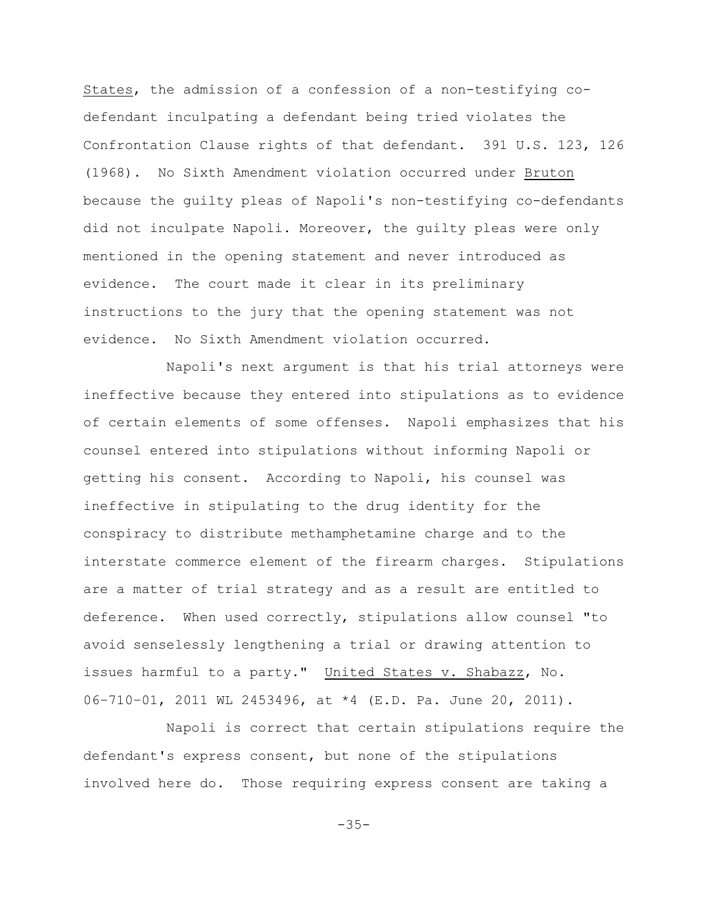States, the admission of a confession of a non-testifying codefendant inculpating a defendant being tried violates the Confrontation Clause rights of that defendant. 391 U.S. 123, 126 (1968). No Sixth Amendment violation occurred under Bruton because the guilty pleas of Napoli's non-testifying co-defendants did not inculpate Napoli. Moreover, the guilty pleas were only mentioned in the opening statement and never introduced as evidence. The court made it clear in its preliminary instructions to the jury that the opening statement was not evidence. No Sixth Amendment violation occurred.

Napoli's next argument is that his trial attorneys were ineffective because they entered into stipulations as to evidence of certain elements of some offenses. Napoli emphasizes that his counsel entered into stipulations without informing Napoli or getting his consent. According to Napoli, his counsel was ineffective in stipulating to the drug identity for the conspiracy to distribute methamphetamine charge and to the interstate commerce element of the firearm charges. Stipulations are a matter of trial strategy and as a result are entitled to deference. When used correctly, stipulations allow counsel "to avoid senselessly lengthening a trial or drawing attention to issues harmful to a party." United States v. Shabazz, No. 06–710–01, 2011 WL 2453496, at \*4 (E.D. Pa. June 20, 2011).

Napoli is correct that certain stipulations require the defendant's express consent, but none of the stipulations involved here do. Those requiring express consent are taking a

-35-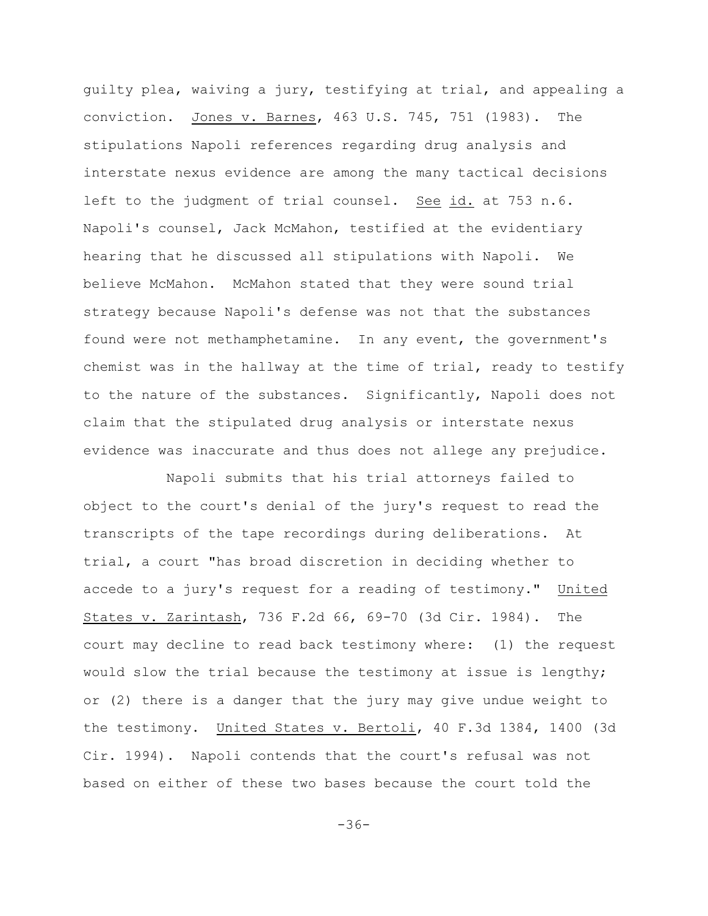guilty plea, waiving a jury, testifying at trial, and appealing a conviction. Jones v. Barnes, 463 U.S. 745, 751 (1983). The stipulations Napoli references regarding drug analysis and interstate nexus evidence are among the many tactical decisions left to the judgment of trial counsel. See id. at 753 n.6. Napoli's counsel, Jack McMahon, testified at the evidentiary hearing that he discussed all stipulations with Napoli. We believe McMahon. McMahon stated that they were sound trial strategy because Napoli's defense was not that the substances found were not methamphetamine. In any event, the government's chemist was in the hallway at the time of trial, ready to testify to the nature of the substances. Significantly, Napoli does not claim that the stipulated drug analysis or interstate nexus evidence was inaccurate and thus does not allege any prejudice.

Napoli submits that his trial attorneys failed to object to the court's denial of the jury's request to read the transcripts of the tape recordings during deliberations. At trial, a court "has broad discretion in deciding whether to accede to a jury's request for a reading of testimony." United States v. Zarintash, 736 F.2d 66, 69-70 (3d Cir. 1984). The court may decline to read back testimony where: (1) the request would slow the trial because the testimony at issue is lengthy; or (2) there is a danger that the jury may give undue weight to the testimony. United States v. Bertoli, 40 F.3d 1384, 1400 (3d Cir. 1994). Napoli contends that the court's refusal was not based on either of these two bases because the court told the

-36-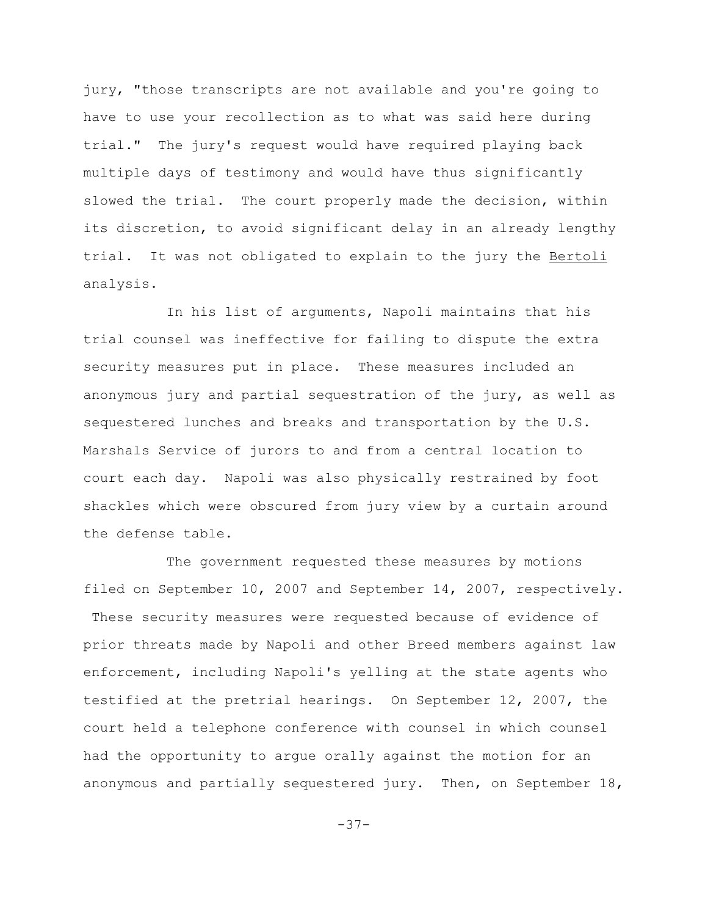jury, "those transcripts are not available and you're going to have to use your recollection as to what was said here during trial." The jury's request would have required playing back multiple days of testimony and would have thus significantly slowed the trial. The court properly made the decision, within its discretion, to avoid significant delay in an already lengthy trial. It was not obligated to explain to the jury the Bertoli analysis.

In his list of arguments, Napoli maintains that his trial counsel was ineffective for failing to dispute the extra security measures put in place. These measures included an anonymous jury and partial sequestration of the jury, as well as sequestered lunches and breaks and transportation by the U.S. Marshals Service of jurors to and from a central location to court each day. Napoli was also physically restrained by foot shackles which were obscured from jury view by a curtain around the defense table.

The government requested these measures by motions filed on September 10, 2007 and September 14, 2007, respectively. These security measures were requested because of evidence of prior threats made by Napoli and other Breed members against law enforcement, including Napoli's yelling at the state agents who testified at the pretrial hearings. On September 12, 2007, the court held a telephone conference with counsel in which counsel had the opportunity to argue orally against the motion for an anonymous and partially sequestered jury. Then, on September 18,

-37-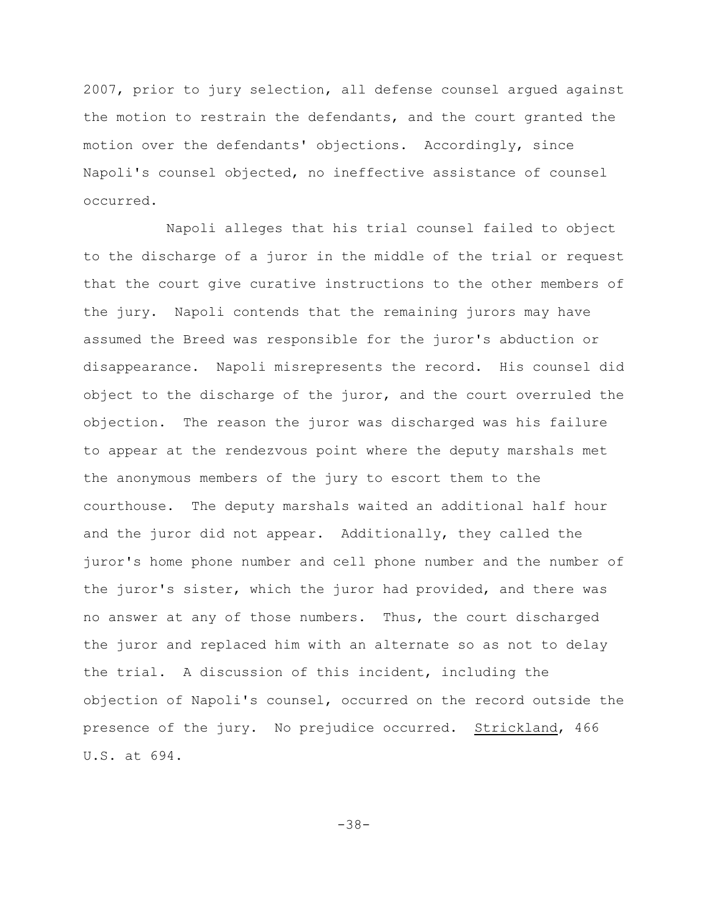2007, prior to jury selection, all defense counsel argued against the motion to restrain the defendants, and the court granted the motion over the defendants' objections. Accordingly, since Napoli's counsel objected, no ineffective assistance of counsel occurred.

Napoli alleges that his trial counsel failed to object to the discharge of a juror in the middle of the trial or request that the court give curative instructions to the other members of the jury. Napoli contends that the remaining jurors may have assumed the Breed was responsible for the juror's abduction or disappearance. Napoli misrepresents the record. His counsel did object to the discharge of the juror, and the court overruled the objection. The reason the juror was discharged was his failure to appear at the rendezvous point where the deputy marshals met the anonymous members of the jury to escort them to the courthouse. The deputy marshals waited an additional half hour and the juror did not appear. Additionally, they called the juror's home phone number and cell phone number and the number of the juror's sister, which the juror had provided, and there was no answer at any of those numbers. Thus, the court discharged the juror and replaced him with an alternate so as not to delay the trial. A discussion of this incident, including the objection of Napoli's counsel, occurred on the record outside the presence of the jury. No prejudice occurred. Strickland, 466 U.S. at 694.

-38-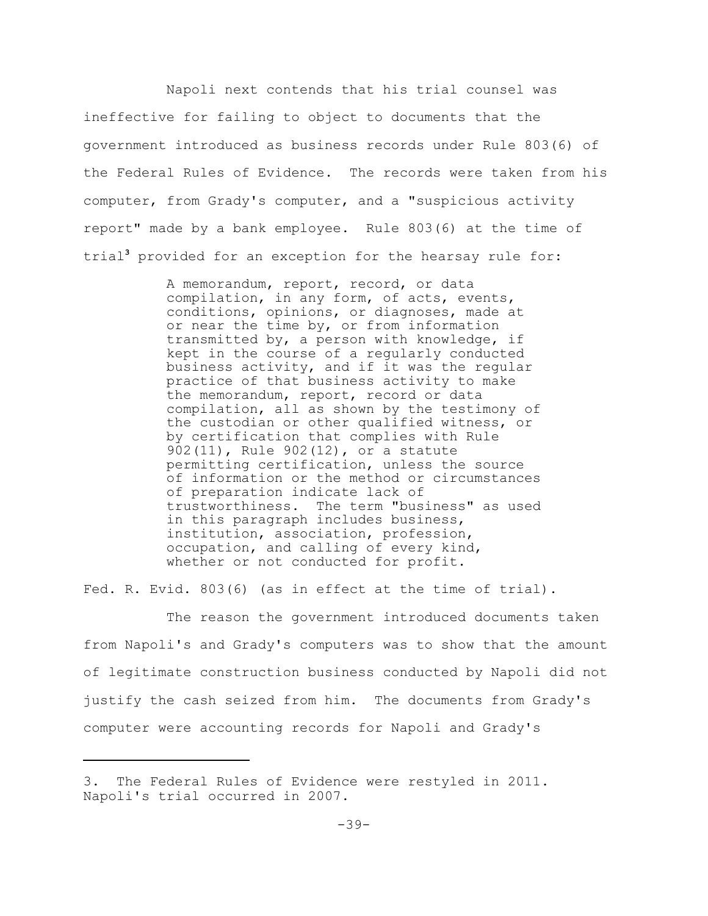Napoli next contends that his trial counsel was ineffective for failing to object to documents that the government introduced as business records under Rule 803(6) of the Federal Rules of Evidence. The records were taken from his computer, from Grady's computer, and a "suspicious activity report" made by a bank employee. Rule 803(6) at the time of trial<sup>3</sup> provided for an exception for the hearsay rule for:

> A memorandum, report, record, or data compilation, in any form, of acts, events, conditions, opinions, or diagnoses, made at or near the time by, or from information transmitted by, a person with knowledge, if kept in the course of a regularly conducted business activity, and if it was the regular practice of that business activity to make the memorandum, report, record or data compilation, all as shown by the testimony of the custodian or other qualified witness, or by certification that complies with Rule 902(11), Rule 902(12), or a statute permitting certification, unless the source of information or the method or circumstances of preparation indicate lack of trustworthiness. The term "business" as used in this paragraph includes business, institution, association, profession, occupation, and calling of every kind, whether or not conducted for profit.

Fed. R. Evid. 803(6) (as in effect at the time of trial).

The reason the government introduced documents taken from Napoli's and Grady's computers was to show that the amount of legitimate construction business conducted by Napoli did not justify the cash seized from him. The documents from Grady's computer were accounting records for Napoli and Grady's

<sup>3.</sup> The Federal Rules of Evidence were restyled in 2011. Napoli's trial occurred in 2007.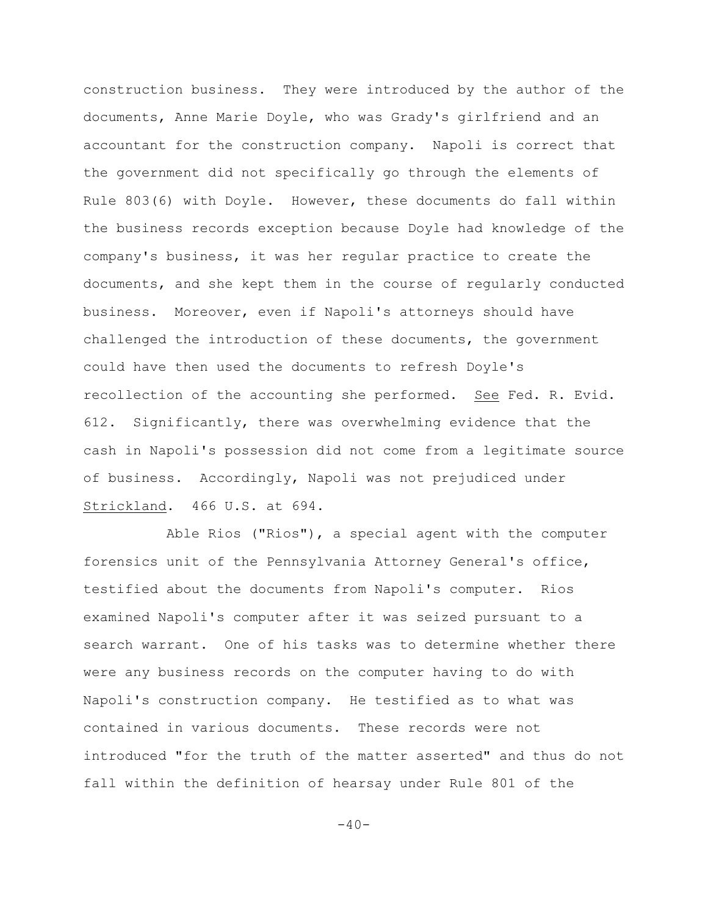construction business. They were introduced by the author of the documents, Anne Marie Doyle, who was Grady's girlfriend and an accountant for the construction company. Napoli is correct that the government did not specifically go through the elements of Rule 803(6) with Doyle. However, these documents do fall within the business records exception because Doyle had knowledge of the company's business, it was her regular practice to create the documents, and she kept them in the course of regularly conducted business. Moreover, even if Napoli's attorneys should have challenged the introduction of these documents, the government could have then used the documents to refresh Doyle's recollection of the accounting she performed. See Fed. R. Evid. 612. Significantly, there was overwhelming evidence that the cash in Napoli's possession did not come from a legitimate source of business. Accordingly, Napoli was not prejudiced under Strickland. 466 U.S. at 694.

Able Rios ("Rios"), a special agent with the computer forensics unit of the Pennsylvania Attorney General's office, testified about the documents from Napoli's computer. Rios examined Napoli's computer after it was seized pursuant to a search warrant. One of his tasks was to determine whether there were any business records on the computer having to do with Napoli's construction company. He testified as to what was contained in various documents. These records were not introduced "for the truth of the matter asserted" and thus do not fall within the definition of hearsay under Rule 801 of the

 $-40-$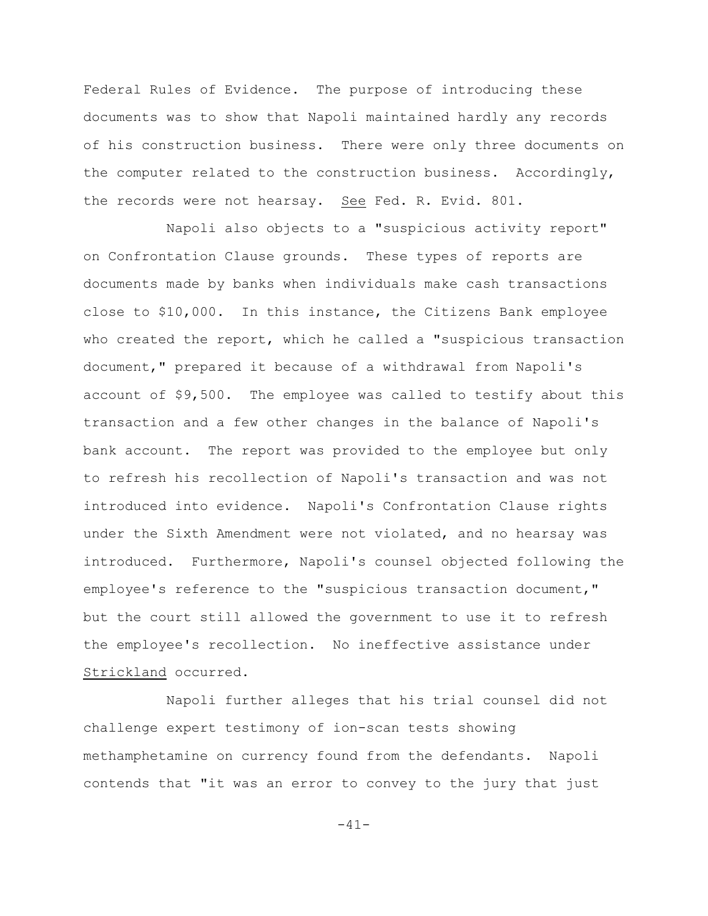Federal Rules of Evidence. The purpose of introducing these documents was to show that Napoli maintained hardly any records of his construction business. There were only three documents on the computer related to the construction business. Accordingly, the records were not hearsay. See Fed. R. Evid. 801.

Napoli also objects to a "suspicious activity report" on Confrontation Clause grounds. These types of reports are documents made by banks when individuals make cash transactions close to \$10,000. In this instance, the Citizens Bank employee who created the report, which he called a "suspicious transaction document," prepared it because of a withdrawal from Napoli's account of \$9,500. The employee was called to testify about this transaction and a few other changes in the balance of Napoli's bank account. The report was provided to the employee but only to refresh his recollection of Napoli's transaction and was not introduced into evidence. Napoli's Confrontation Clause rights under the Sixth Amendment were not violated, and no hearsay was introduced. Furthermore, Napoli's counsel objected following the employee's reference to the "suspicious transaction document," but the court still allowed the government to use it to refresh the employee's recollection. No ineffective assistance under Strickland occurred.

Napoli further alleges that his trial counsel did not challenge expert testimony of ion-scan tests showing methamphetamine on currency found from the defendants. Napoli contends that "it was an error to convey to the jury that just

-41-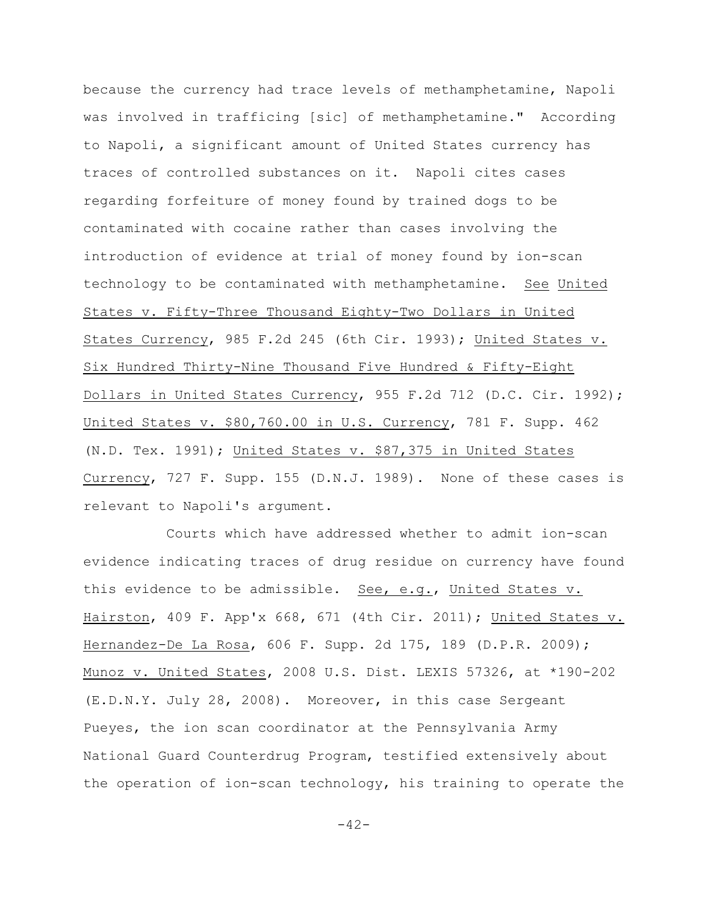because the currency had trace levels of methamphetamine, Napoli was involved in trafficing [sic] of methamphetamine." According to Napoli, a significant amount of United States currency has traces of controlled substances on it. Napoli cites cases regarding forfeiture of money found by trained dogs to be contaminated with cocaine rather than cases involving the introduction of evidence at trial of money found by ion-scan technology to be contaminated with methamphetamine. See United States v. Fifty-Three Thousand Eighty-Two Dollars in United States Currency, 985 F.2d 245 (6th Cir. 1993); United States v. Six Hundred Thirty-Nine Thousand Five Hundred & Fifty-Eight Dollars in United States Currency, 955 F.2d 712 (D.C. Cir. 1992); United States v. \$80,760.00 in U.S. Currency, 781 F. Supp. 462 (N.D. Tex. 1991); United States v. \$87,375 in United States Currency, 727 F. Supp. 155 (D.N.J. 1989). None of these cases is relevant to Napoli's argument.

Courts which have addressed whether to admit ion-scan evidence indicating traces of drug residue on currency have found this evidence to be admissible. See, e.g., United States v. Hairston, 409 F. App'x 668, 671 (4th Cir. 2011); United States v. Hernandez-De La Rosa, 606 F. Supp. 2d 175, 189 (D.P.R. 2009); Munoz v. United States, 2008 U.S. Dist. LEXIS 57326, at \*190-202 (E.D.N.Y. July 28, 2008). Moreover, in this case Sergeant Pueyes, the ion scan coordinator at the Pennsylvania Army National Guard Counterdrug Program, testified extensively about the operation of ion-scan technology, his training to operate the

 $-42-$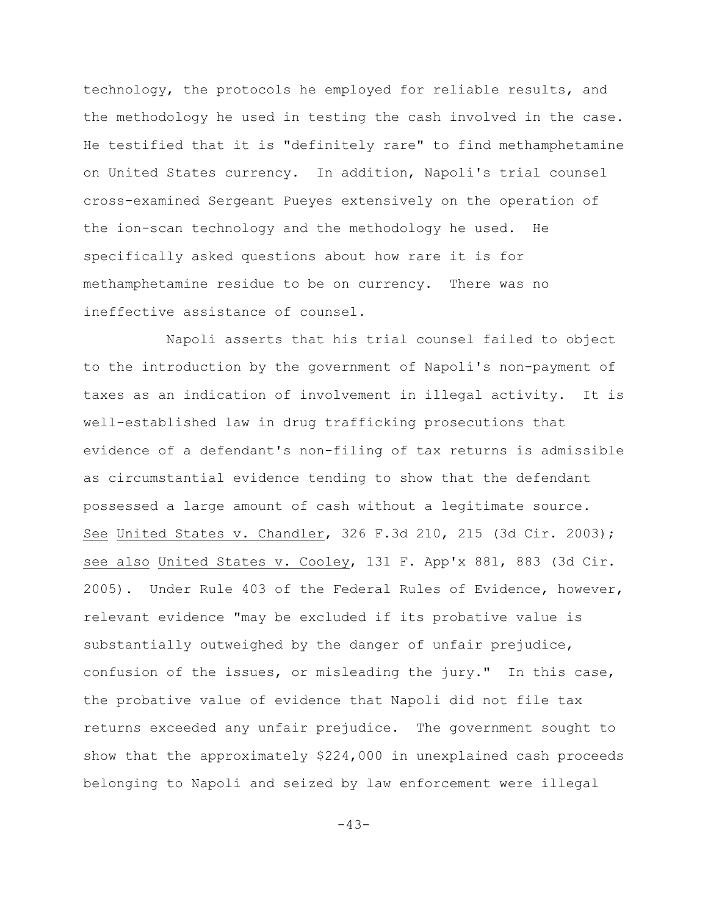technology, the protocols he employed for reliable results, and the methodology he used in testing the cash involved in the case. He testified that it is "definitely rare" to find methamphetamine on United States currency. In addition, Napoli's trial counsel cross-examined Sergeant Pueyes extensively on the operation of the ion-scan technology and the methodology he used. He specifically asked questions about how rare it is for methamphetamine residue to be on currency. There was no ineffective assistance of counsel.

Napoli asserts that his trial counsel failed to object to the introduction by the government of Napoli's non-payment of taxes as an indication of involvement in illegal activity. It is well-established law in drug trafficking prosecutions that evidence of a defendant's non-filing of tax returns is admissible as circumstantial evidence tending to show that the defendant possessed a large amount of cash without a legitimate source. See United States v. Chandler, 326 F.3d 210, 215 (3d Cir. 2003); see also United States v. Cooley, 131 F. App'x 881, 883 (3d Cir. 2005). Under Rule 403 of the Federal Rules of Evidence, however, relevant evidence "may be excluded if its probative value is substantially outweighed by the danger of unfair prejudice, confusion of the issues, or misleading the jury." In this case, the probative value of evidence that Napoli did not file tax returns exceeded any unfair prejudice. The government sought to show that the approximately \$224,000 in unexplained cash proceeds belonging to Napoli and seized by law enforcement were illegal

-43-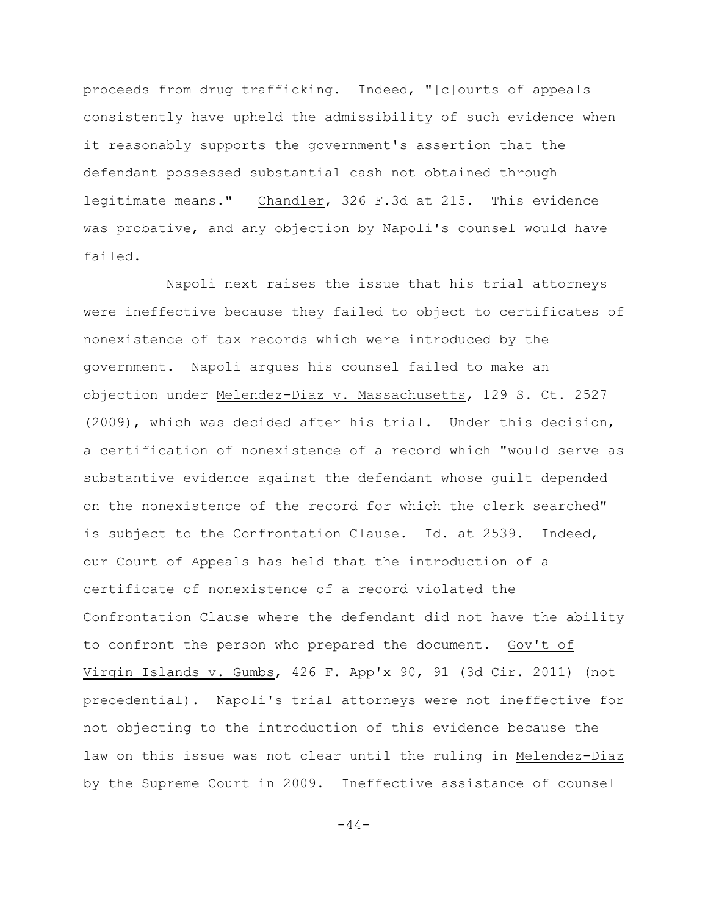proceeds from drug trafficking. Indeed, "[c]ourts of appeals consistently have upheld the admissibility of such evidence when it reasonably supports the government's assertion that the defendant possessed substantial cash not obtained through legitimate means." Chandler, 326 F.3d at 215. This evidence was probative, and any objection by Napoli's counsel would have failed.

Napoli next raises the issue that his trial attorneys were ineffective because they failed to object to certificates of nonexistence of tax records which were introduced by the government. Napoli argues his counsel failed to make an objection under Melendez-Diaz v. Massachusetts, 129 S. Ct. 2527 (2009), which was decided after his trial. Under this decision, a certification of nonexistence of a record which "would serve as substantive evidence against the defendant whose guilt depended on the nonexistence of the record for which the clerk searched" is subject to the Confrontation Clause. Id. at 2539. Indeed, our Court of Appeals has held that the introduction of a certificate of nonexistence of a record violated the Confrontation Clause where the defendant did not have the ability to confront the person who prepared the document. Gov't of Virgin Islands v. Gumbs, 426 F. App'x 90, 91 (3d Cir. 2011) (not precedential). Napoli's trial attorneys were not ineffective for not objecting to the introduction of this evidence because the law on this issue was not clear until the ruling in Melendez-Diaz by the Supreme Court in 2009. Ineffective assistance of counsel

 $-44-$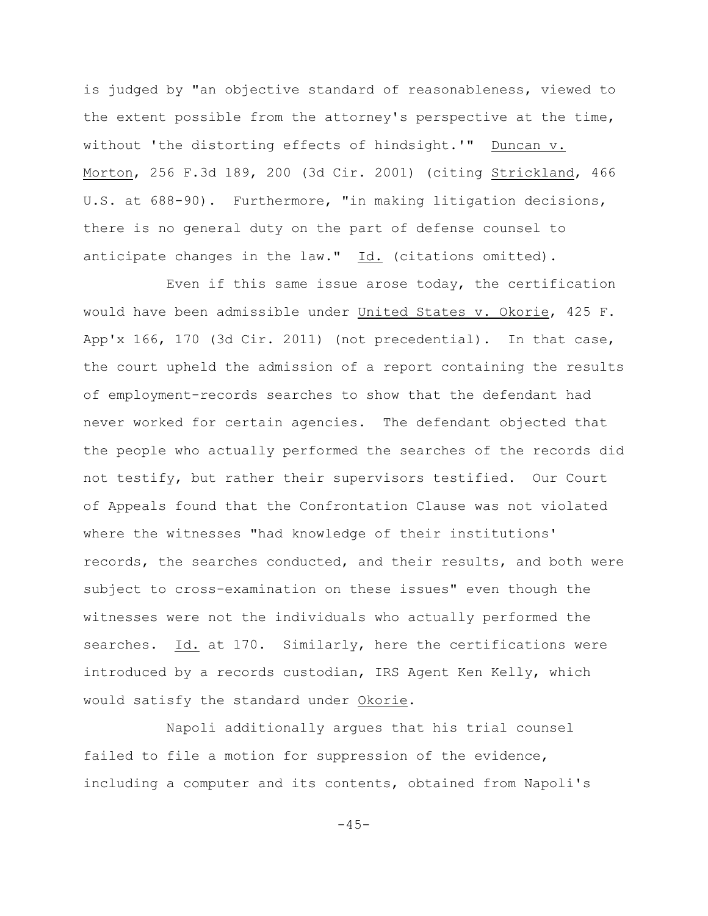is judged by "an objective standard of reasonableness, viewed to the extent possible from the attorney's perspective at the time, without 'the distorting effects of hindsight.'" Duncan v. Morton, 256 F.3d 189, 200 (3d Cir. 2001) (citing Strickland, 466 U.S. at 688-90). Furthermore, "in making litigation decisions, there is no general duty on the part of defense counsel to anticipate changes in the law."  $Id.$  (citations omitted).

Even if this same issue arose today, the certification would have been admissible under United States v. Okorie, 425 F. App'x 166, 170 (3d Cir. 2011) (not precedential). In that case, the court upheld the admission of a report containing the results of employment-records searches to show that the defendant had never worked for certain agencies. The defendant objected that the people who actually performed the searches of the records did not testify, but rather their supervisors testified. Our Court of Appeals found that the Confrontation Clause was not violated where the witnesses "had knowledge of their institutions' records, the searches conducted, and their results, and both were subject to cross-examination on these issues" even though the witnesses were not the individuals who actually performed the searches. Id. at 170. Similarly, here the certifications were introduced by a records custodian, IRS Agent Ken Kelly, which would satisfy the standard under Okorie.

Napoli additionally argues that his trial counsel failed to file a motion for suppression of the evidence, including a computer and its contents, obtained from Napoli's

 $-45-$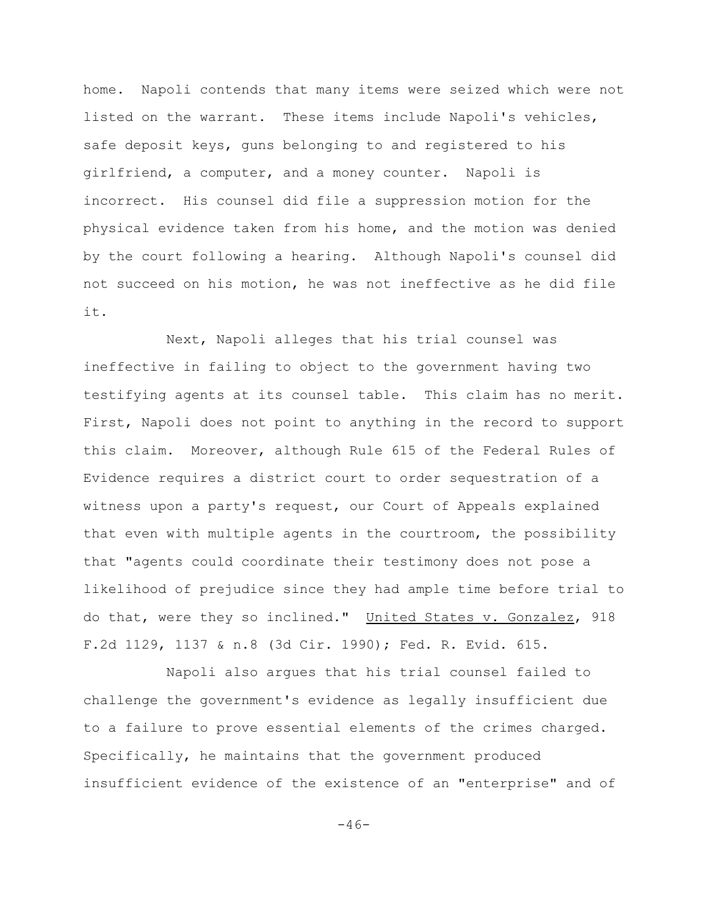home. Napoli contends that many items were seized which were not listed on the warrant. These items include Napoli's vehicles, safe deposit keys, guns belonging to and registered to his girlfriend, a computer, and a money counter. Napoli is incorrect. His counsel did file a suppression motion for the physical evidence taken from his home, and the motion was denied by the court following a hearing. Although Napoli's counsel did not succeed on his motion, he was not ineffective as he did file it.

Next, Napoli alleges that his trial counsel was ineffective in failing to object to the government having two testifying agents at its counsel table. This claim has no merit. First, Napoli does not point to anything in the record to support this claim. Moreover, although Rule 615 of the Federal Rules of Evidence requires a district court to order sequestration of a witness upon a party's request, our Court of Appeals explained that even with multiple agents in the courtroom, the possibility that "agents could coordinate their testimony does not pose a likelihood of prejudice since they had ample time before trial to do that, were they so inclined." United States v. Gonzalez, 918 F.2d 1129, 1137 & n.8 (3d Cir. 1990); Fed. R. Evid. 615.

Napoli also argues that his trial counsel failed to challenge the government's evidence as legally insufficient due to a failure to prove essential elements of the crimes charged. Specifically, he maintains that the government produced insufficient evidence of the existence of an "enterprise" and of

 $-46-$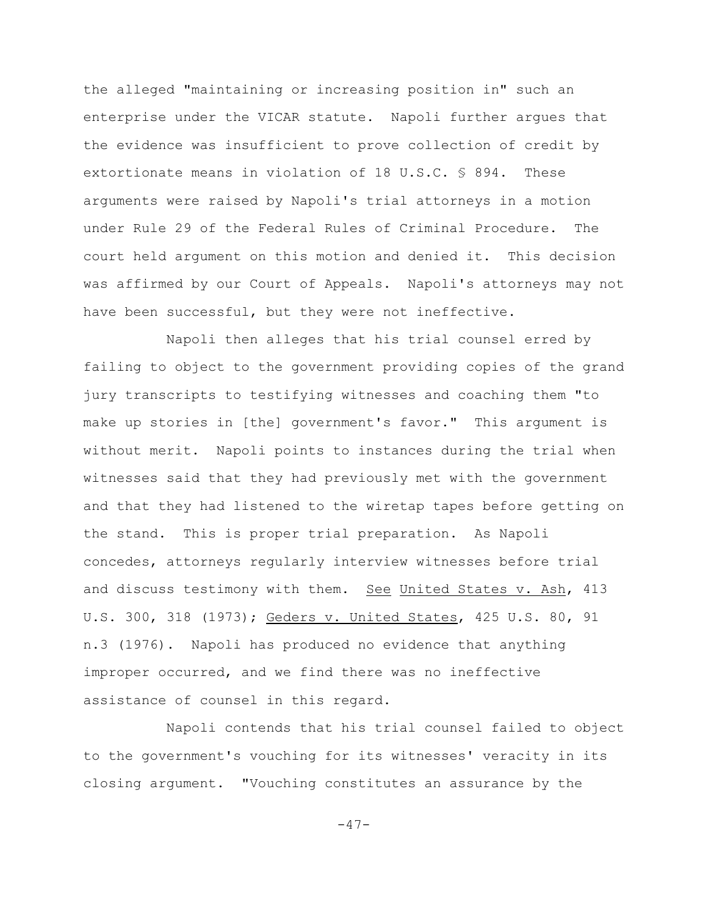the alleged "maintaining or increasing position in" such an enterprise under the VICAR statute. Napoli further argues that the evidence was insufficient to prove collection of credit by extortionate means in violation of 18 U.S.C. § 894. These arguments were raised by Napoli's trial attorneys in a motion under Rule 29 of the Federal Rules of Criminal Procedure. The court held argument on this motion and denied it. This decision was affirmed by our Court of Appeals. Napoli's attorneys may not have been successful, but they were not ineffective.

Napoli then alleges that his trial counsel erred by failing to object to the government providing copies of the grand jury transcripts to testifying witnesses and coaching them "to make up stories in [the] government's favor." This argument is without merit. Napoli points to instances during the trial when witnesses said that they had previously met with the government and that they had listened to the wiretap tapes before getting on the stand. This is proper trial preparation. As Napoli concedes, attorneys regularly interview witnesses before trial and discuss testimony with them. See United States v. Ash, 413 U.S. 300, 318 (1973); Geders v. United States, 425 U.S. 80, 91 n.3 (1976). Napoli has produced no evidence that anything improper occurred, and we find there was no ineffective assistance of counsel in this regard.

Napoli contends that his trial counsel failed to object to the government's vouching for its witnesses' veracity in its closing argument. "Vouching constitutes an assurance by the

-47-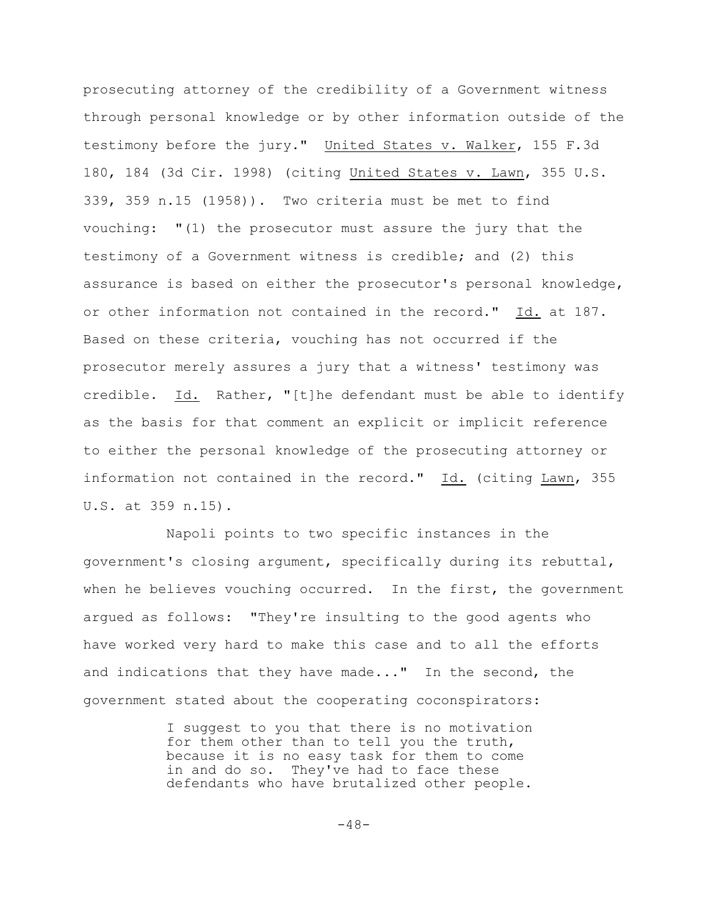prosecuting attorney of the credibility of a Government witness through personal knowledge or by other information outside of the testimony before the jury." United States v. Walker, 155 F.3d 180, 184 (3d Cir. 1998) (citing United States v. Lawn, 355 U.S. 339, 359 n.15 (1958)). Two criteria must be met to find vouching: "(1) the prosecutor must assure the jury that the testimony of a Government witness is credible; and (2) this assurance is based on either the prosecutor's personal knowledge, or other information not contained in the record." Id. at 187. Based on these criteria, vouching has not occurred if the prosecutor merely assures a jury that a witness' testimony was credible. Id. Rather, "[t]he defendant must be able to identify as the basis for that comment an explicit or implicit reference to either the personal knowledge of the prosecuting attorney or information not contained in the record." Id. (citing Lawn, 355 U.S. at 359 n.15).

Napoli points to two specific instances in the government's closing argument, specifically during its rebuttal, when he believes vouching occurred. In the first, the government argued as follows: "They're insulting to the good agents who have worked very hard to make this case and to all the efforts and indications that they have made..." In the second, the government stated about the cooperating coconspirators:

> I suggest to you that there is no motivation for them other than to tell you the truth, because it is no easy task for them to come in and do so. They've had to face these defendants who have brutalized other people.

> > $-48-$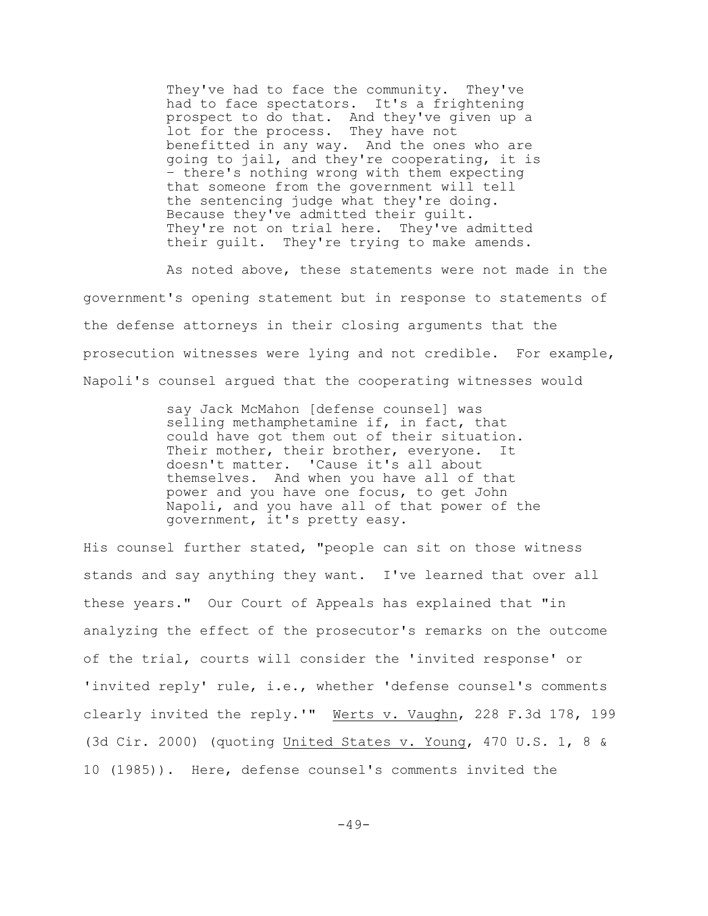They've had to face the community. They've had to face spectators. It's a frightening prospect to do that. And they've given up a lot for the process. They have not benefitted in any way. And the ones who are going to jail, and they're cooperating, it is – there's nothing wrong with them expecting that someone from the government will tell the sentencing judge what they're doing. Because they've admitted their guilt. They're not on trial here. They've admitted their guilt. They're trying to make amends.

As noted above, these statements were not made in the government's opening statement but in response to statements of the defense attorneys in their closing arguments that the prosecution witnesses were lying and not credible. For example, Napoli's counsel argued that the cooperating witnesses would

> say Jack McMahon [defense counsel] was selling methamphetamine if, in fact, that could have got them out of their situation. Their mother, their brother, everyone. It doesn't matter. 'Cause it's all about themselves. And when you have all of that power and you have one focus, to get John Napoli, and you have all of that power of the government, it's pretty easy.

His counsel further stated, "people can sit on those witness stands and say anything they want. I've learned that over all these years." Our Court of Appeals has explained that "in analyzing the effect of the prosecutor's remarks on the outcome of the trial, courts will consider the 'invited response' or 'invited reply' rule, i.e., whether 'defense counsel's comments clearly invited the reply.'" Werts v. Vaughn, 228 F.3d 178, 199 (3d Cir. 2000) (quoting United States v. Young, 470 U.S. 1, 8 & 10 (1985)). Here, defense counsel's comments invited the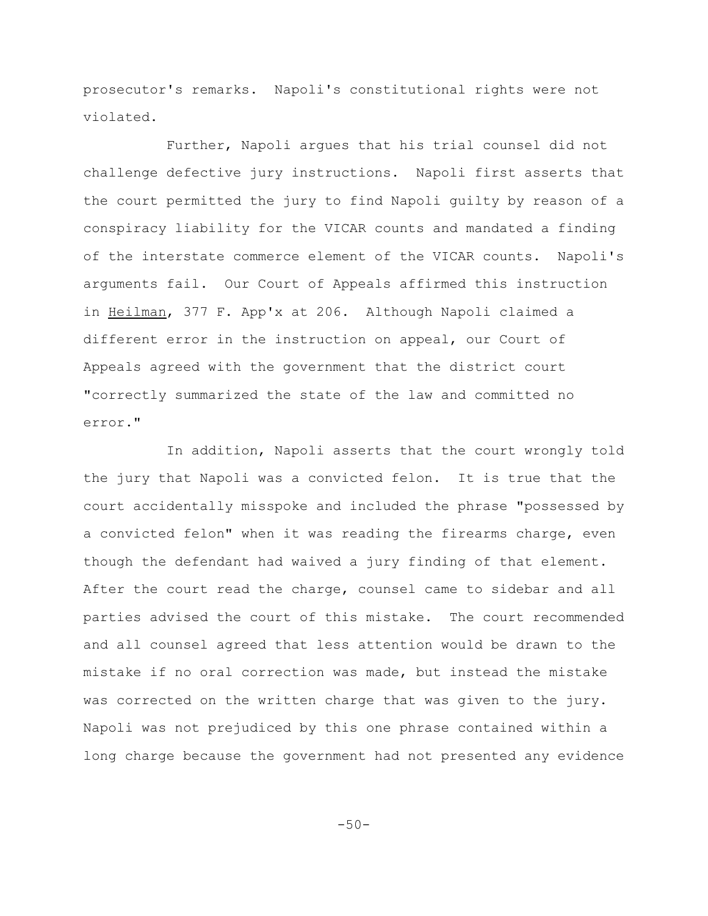prosecutor's remarks. Napoli's constitutional rights were not violated.

Further, Napoli argues that his trial counsel did not challenge defective jury instructions. Napoli first asserts that the court permitted the jury to find Napoli guilty by reason of a conspiracy liability for the VICAR counts and mandated a finding of the interstate commerce element of the VICAR counts. Napoli's arguments fail. Our Court of Appeals affirmed this instruction in Heilman, 377 F. App'x at 206. Although Napoli claimed a different error in the instruction on appeal, our Court of Appeals agreed with the government that the district court "correctly summarized the state of the law and committed no error."

In addition, Napoli asserts that the court wrongly told the jury that Napoli was a convicted felon. It is true that the court accidentally misspoke and included the phrase "possessed by a convicted felon" when it was reading the firearms charge, even though the defendant had waived a jury finding of that element. After the court read the charge, counsel came to sidebar and all parties advised the court of this mistake. The court recommended and all counsel agreed that less attention would be drawn to the mistake if no oral correction was made, but instead the mistake was corrected on the written charge that was given to the jury. Napoli was not prejudiced by this one phrase contained within a long charge because the government had not presented any evidence

 $-50-$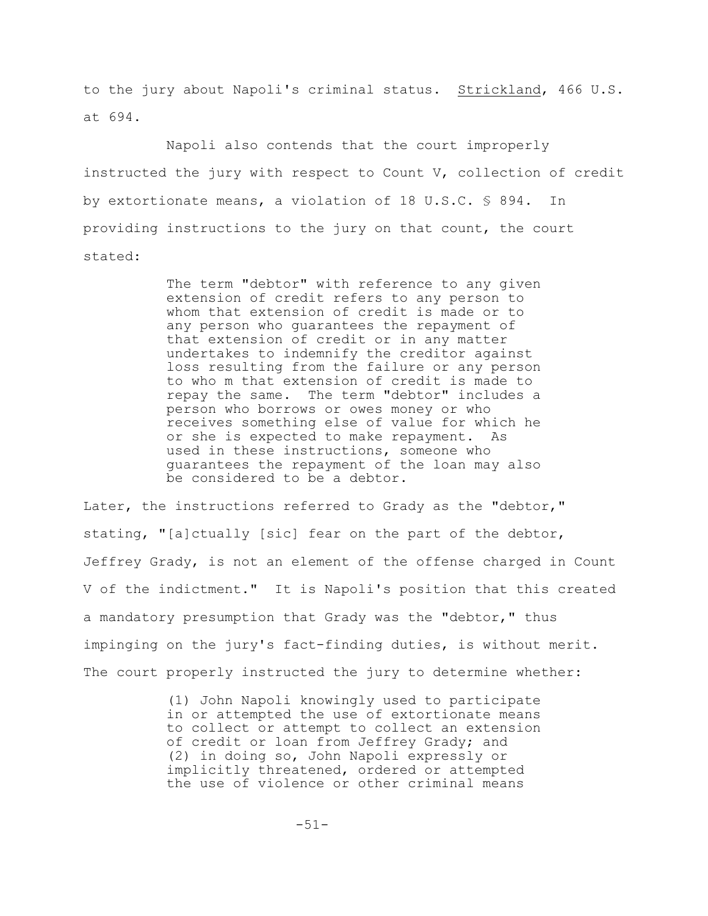to the jury about Napoli's criminal status. Strickland, 466 U.S. at 694.

Napoli also contends that the court improperly instructed the jury with respect to Count V, collection of credit by extortionate means, a violation of 18 U.S.C. § 894. In providing instructions to the jury on that count, the court stated:

> The term "debtor" with reference to any given extension of credit refers to any person to whom that extension of credit is made or to any person who guarantees the repayment of that extension of credit or in any matter undertakes to indemnify the creditor against loss resulting from the failure or any person to who m that extension of credit is made to repay the same. The term "debtor" includes a person who borrows or owes money or who receives something else of value for which he or she is expected to make repayment. As used in these instructions, someone who guarantees the repayment of the loan may also be considered to be a debtor.

Later, the instructions referred to Grady as the "debtor," stating, "[a]ctually [sic] fear on the part of the debtor, Jeffrey Grady, is not an element of the offense charged in Count V of the indictment." It is Napoli's position that this created a mandatory presumption that Grady was the "debtor," thus impinging on the jury's fact-finding duties, is without merit. The court properly instructed the jury to determine whether:

> (1) John Napoli knowingly used to participate in or attempted the use of extortionate means to collect or attempt to collect an extension of credit or loan from Jeffrey Grady; and (2) in doing so, John Napoli expressly or implicitly threatened, ordered or attempted the use of violence or other criminal means

> > -51-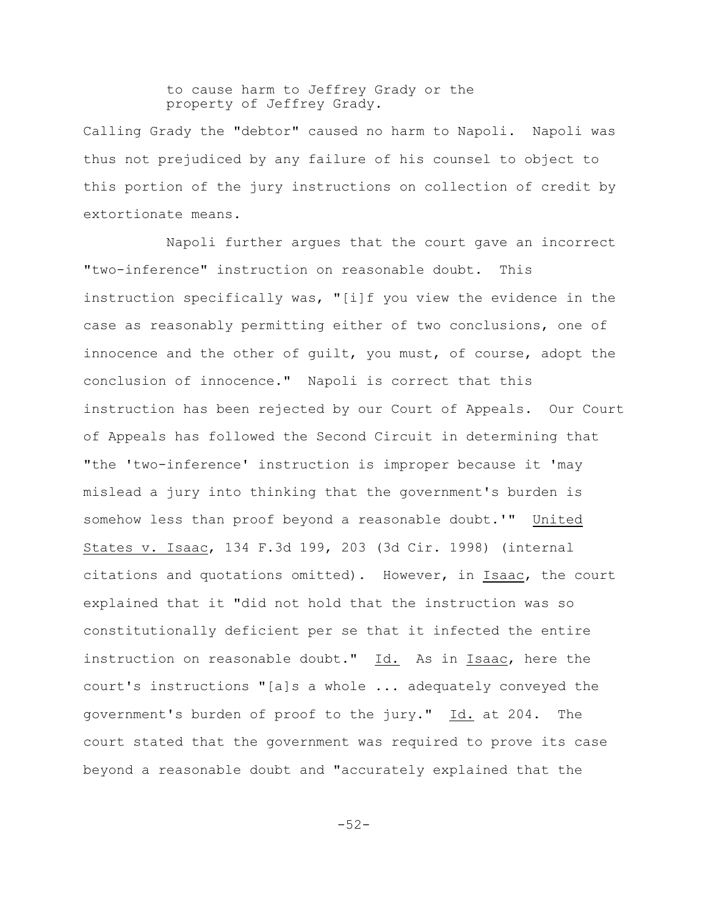# to cause harm to Jeffrey Grady or the property of Jeffrey Grady.

Calling Grady the "debtor" caused no harm to Napoli. Napoli was thus not prejudiced by any failure of his counsel to object to this portion of the jury instructions on collection of credit by extortionate means.

Napoli further argues that the court gave an incorrect "two-inference" instruction on reasonable doubt. This instruction specifically was, "[i]f you view the evidence in the case as reasonably permitting either of two conclusions, one of innocence and the other of guilt, you must, of course, adopt the conclusion of innocence." Napoli is correct that this instruction has been rejected by our Court of Appeals. Our Court of Appeals has followed the Second Circuit in determining that "the 'two-inference' instruction is improper because it 'may mislead a jury into thinking that the government's burden is somehow less than proof beyond a reasonable doubt.'" United States v. Isaac, 134 F.3d 199, 203 (3d Cir. 1998) (internal citations and quotations omitted). However, in Isaac, the court explained that it "did not hold that the instruction was so constitutionally deficient per se that it infected the entire instruction on reasonable doubt."  $Id.$  As in Isaac, here the court's instructions "[a]s a whole ... adequately conveyed the government's burden of proof to the jury." Id. at 204. The court stated that the government was required to prove its case beyond a reasonable doubt and "accurately explained that the

-52-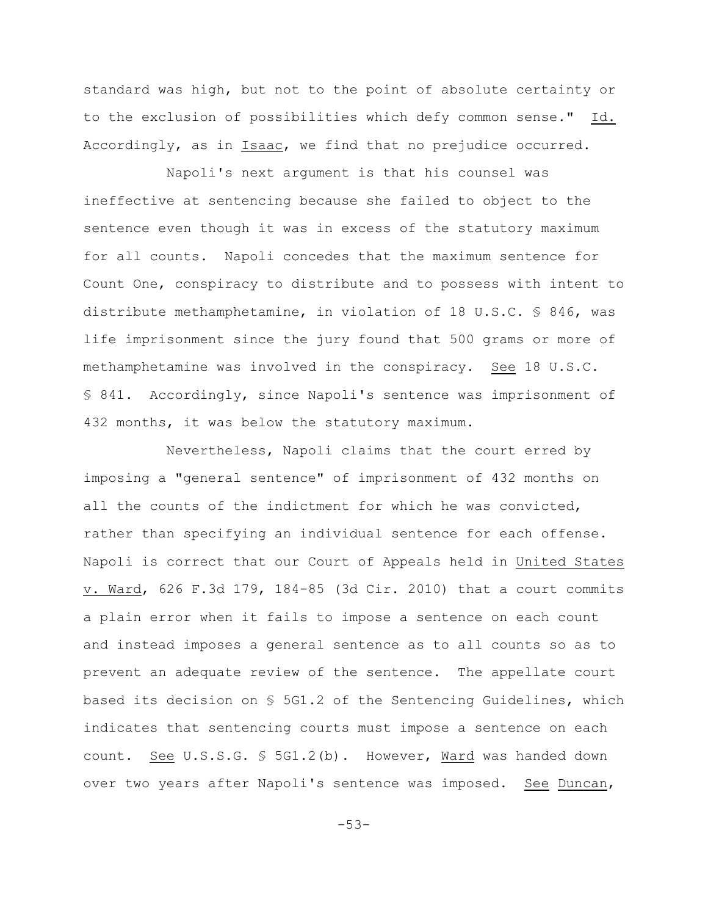standard was high, but not to the point of absolute certainty or to the exclusion of possibilities which defy common sense." Id. Accordingly, as in Isaac, we find that no prejudice occurred.

Napoli's next argument is that his counsel was ineffective at sentencing because she failed to object to the sentence even though it was in excess of the statutory maximum for all counts. Napoli concedes that the maximum sentence for Count One, conspiracy to distribute and to possess with intent to distribute methamphetamine, in violation of 18 U.S.C. § 846, was life imprisonment since the jury found that 500 grams or more of methamphetamine was involved in the conspiracy. See 18 U.S.C. § 841. Accordingly, since Napoli's sentence was imprisonment of 432 months, it was below the statutory maximum.

Nevertheless, Napoli claims that the court erred by imposing a "general sentence" of imprisonment of 432 months on all the counts of the indictment for which he was convicted, rather than specifying an individual sentence for each offense. Napoli is correct that our Court of Appeals held in United States v. Ward, 626 F.3d 179, 184-85 (3d Cir. 2010) that a court commits a plain error when it fails to impose a sentence on each count and instead imposes a general sentence as to all counts so as to prevent an adequate review of the sentence. The appellate court based its decision on § 5G1.2 of the Sentencing Guidelines, which indicates that sentencing courts must impose a sentence on each count. See U.S.S.G. § 5G1.2(b). However, Ward was handed down over two years after Napoli's sentence was imposed. See Duncan,

-53-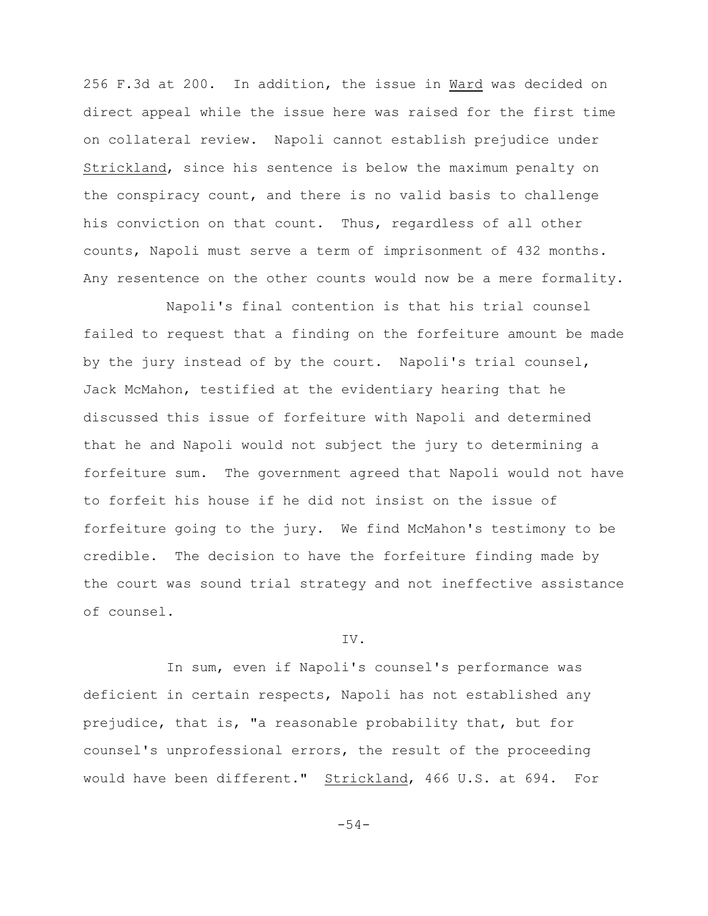256 F.3d at 200. In addition, the issue in Ward was decided on direct appeal while the issue here was raised for the first time on collateral review. Napoli cannot establish prejudice under Strickland, since his sentence is below the maximum penalty on the conspiracy count, and there is no valid basis to challenge his conviction on that count. Thus, regardless of all other counts, Napoli must serve a term of imprisonment of 432 months. Any resentence on the other counts would now be a mere formality.

Napoli's final contention is that his trial counsel failed to request that a finding on the forfeiture amount be made by the jury instead of by the court. Napoli's trial counsel, Jack McMahon, testified at the evidentiary hearing that he discussed this issue of forfeiture with Napoli and determined that he and Napoli would not subject the jury to determining a forfeiture sum. The government agreed that Napoli would not have to forfeit his house if he did not insist on the issue of forfeiture going to the jury. We find McMahon's testimony to be credible. The decision to have the forfeiture finding made by the court was sound trial strategy and not ineffective assistance of counsel.

## IV.

In sum, even if Napoli's counsel's performance was deficient in certain respects, Napoli has not established any prejudice, that is, "a reasonable probability that, but for counsel's unprofessional errors, the result of the proceeding would have been different." Strickland, 466 U.S. at 694. For

-54-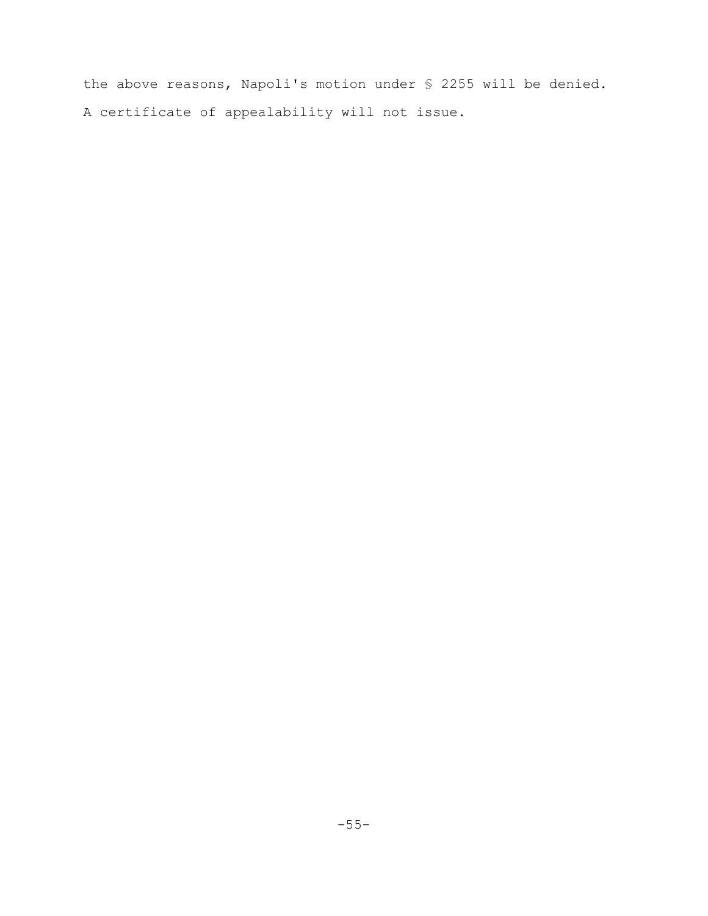the above reasons, Napoli's motion under § 2255 will be denied. A certificate of appealability will not issue.